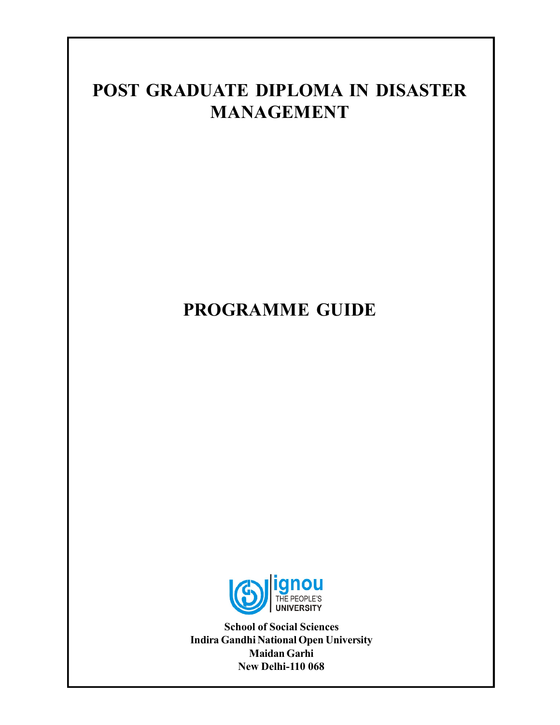# **POST GRADUATE DIPLOMA IN DISASTER MANAGEMENT**

# **PROGRAMME GUIDE**



**School of Social Sciences Indira Gandhi National Open University Maidan Garhi New Delhi-110 068**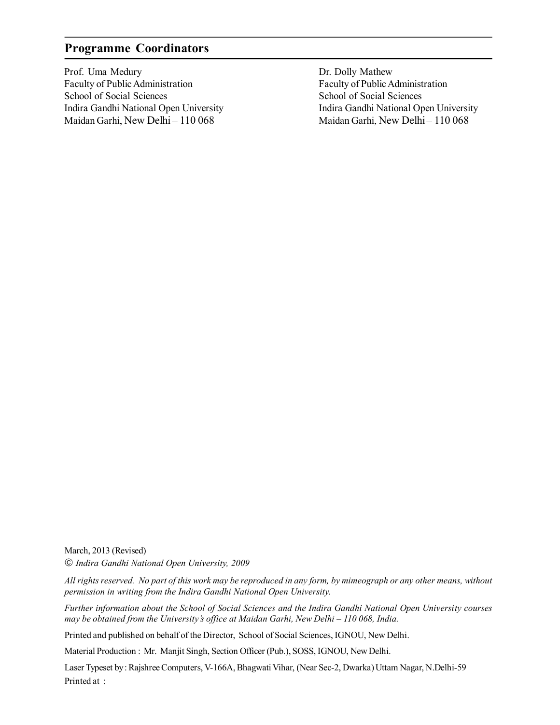## **Programme Coordinators**

Prof. Uma Medury Faculty of Public Administration School of Social Sciences Indira Gandhi National Open University Maidan Garhi, New Delhi - 110 068

Dr. Dolly Mathew Faculty of Public Administration School of Social Sciences Indira Gandhi National Open University Maidan Garhi, New Delhi - 110 068

March, 2013 (Revised)

*Indira Gandhi National Open University, 2009*

*All rights reserved. No part of this work may be reproduced in any form, by mimeograph or any other means, without permission in writing from the Indira Gandhi National Open University.*

*Further information about the School of Social Sciences and the Indira Gandhi National Open University courses may be obtained from the University's office at Maidan Garhi, New Delhi – 110 068, India.*

Printed and published on behalf of the Director, School of Social Sciences, IGNOU, New Delhi.

Material Production : Mr. Manjit Singh, Section Officer (Pub.), SOSS, IGNOU, New Delhi.

Laser Typeset by : Rajshree Computers, V-166A, Bhagwati Vihar, (Near Sec-2, Dwarka) Uttam Nagar, N.Delhi-59 Printed at :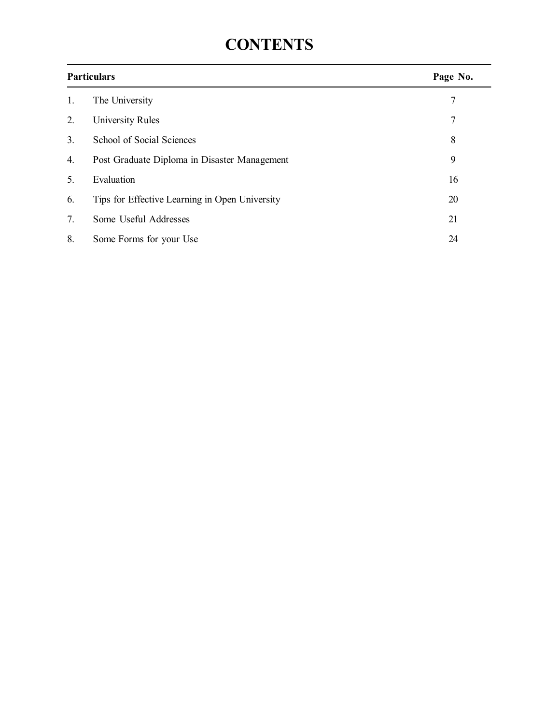# **CONTENTS**

| <b>Particulars</b> |                                                | Page No. |
|--------------------|------------------------------------------------|----------|
| 1.                 | The University                                 | 7        |
| 2.                 | University Rules                               | 7        |
| 3.                 | School of Social Sciences                      | 8        |
| 4.                 | Post Graduate Diploma in Disaster Management   | 9        |
| 5.                 | Evaluation                                     | 16       |
| 6.                 | Tips for Effective Learning in Open University | 20       |
| 7.                 | Some Useful Addresses                          | 21       |
| 8.                 | Some Forms for your Use                        | 24       |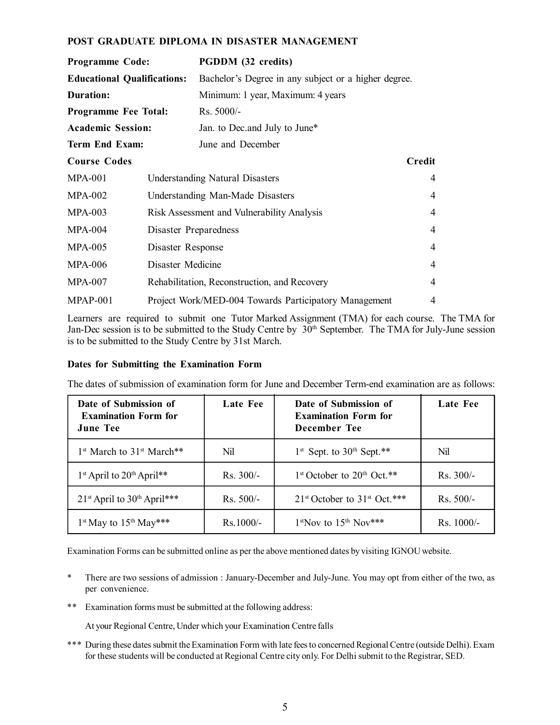#### **POST GRADUATE DIPLOMA IN DISASTER MANAGEMENT**

| Programme Code:                               |  | PGDDM (32 credits)                                    |                |  |
|-----------------------------------------------|--|-------------------------------------------------------|----------------|--|
| <b>Educational Qualifications:</b>            |  | Bachelor's Degree in any subject or a higher degree.  |                |  |
| Duration:                                     |  | Minimum: 1 year, Maximum: 4 years                     |                |  |
| <b>Programme Fee Total:</b>                   |  | Rs. 5000/-                                            |                |  |
| <b>Academic Session:</b>                      |  | Jan. to Dec. and July to June*                        |                |  |
| <b>Term End Exam:</b>                         |  | June and December                                     |                |  |
| <b>Course Codes</b>                           |  |                                                       | Credit         |  |
| $MPA-001$                                     |  | <b>Understanding Natural Disasters</b>                | 4              |  |
| $MPA-002$<br>Understanding Man-Made Disasters |  |                                                       | $\overline{4}$ |  |
| $MPA-003$                                     |  | Risk Assessment and Vulnerability Analysis            | $\overline{4}$ |  |
| <b>MPA-004</b><br>Disaster Preparedness       |  |                                                       | $\overline{4}$ |  |
| <b>MPA-005</b><br>Disaster Response           |  |                                                       | 4              |  |
| Disaster Medicine<br><b>MPA-006</b>           |  |                                                       | $\overline{4}$ |  |
| <b>MPA-007</b>                                |  | Rehabilitation, Reconstruction, and Recovery          | 4              |  |
| $MPAP-001$                                    |  | Project Work/MED-004 Towards Participatory Management | 4              |  |

Learners are required to submit one Tutor Marked Assignment (TMA) for each course. The TMA for Jan-Dec session is to be submitted to the Study Centre by 30<sup>th</sup> September. The TMA for July-June session is to be submitted to the Study Centre by 31st March.

#### **Dates for Submitting the Examination Form**

The dates of submission of examination form for June and December Term-end examination are as follows:

| Date of Submission of<br><b>Examination Form for</b><br><b>June Tee</b> | Late Fee    | Date of Submission of<br><b>Examination Form for</b><br>December Tee | Late Fee     |
|-------------------------------------------------------------------------|-------------|----------------------------------------------------------------------|--------------|
| 1 <sup>st</sup> March to 31 <sup>st</sup> March <sup>**</sup>           | Nil         | $1st$ Sept. to 30 <sup>th</sup> Sept.**                              | Nil          |
| 1 <sup>st</sup> April to 20 <sup>th</sup> April**                       | $Rs. 300/-$ | $1st$ October to $20th$ Oct.**                                       | $Rs. 300/-$  |
| $21st$ April to $30th$ April***                                         | $Rs. 500/-$ | $21st$ October to $31st$ Oct.***                                     | $Rs. 500/-$  |
| $1^{st}$ May to $15^{th}$ May***                                        | $Rs.1000/-$ | $1st$ Nov to $15th$ Nov***                                           | $Rs. 1000/-$ |

Examination Forms can be submitted online as per the above mentioned dates by visiting IGNOU website.

- \* There are two sessions of admission : January-December and July-June. You may opt from either of the two, as per convenience.
- \*\* Examination forms must be submitted at the following address:

At your Regional Centre, Under which your Examination Centre falls

\*\*\* During these dates submit the Examination Form with late fees to concerned Regional Centre (outside Delhi). Exam for these students will be conducted at Regional Centre city only. For Delhi submit to the Registrar, SED.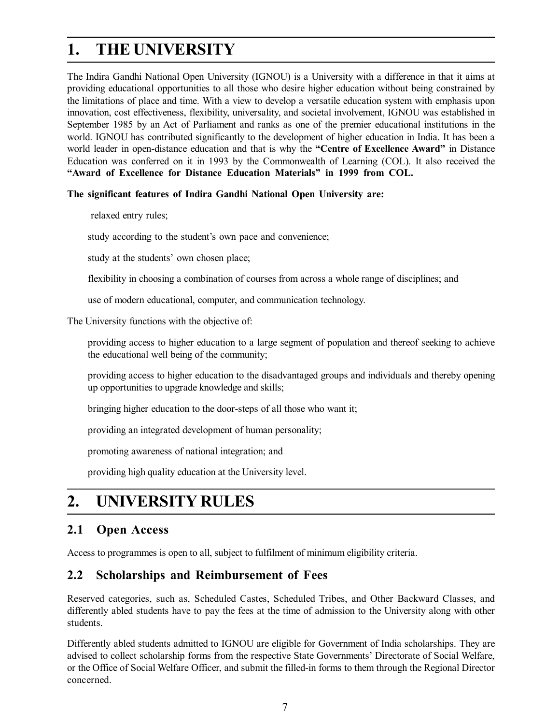# **1. THE UNIVERSITY**

The Indira Gandhi National Open University (IGNOU) is a University with a difference in that it aims at providing educational opportunities to all those who desire higher education without being constrained by the limitations of place and time. With a view to develop a versatile education system with emphasis upon innovation, cost effectiveness, flexibility, universality, and societal involvement, IGNOU was established in September 1985 by an Act of Parliament and ranks as one of the premier educational institutions in the world. IGNOU has contributed significantly to the development of higher education in India. It has been a world leader in open-distance education and that is why the **"Centre of Excellence Award"** in Distance Education was conferred on it in 1993 by the Commonwealth of Learning (COL). It also received the **"Award of Excellence for Distance Education Materials" in 1999 from COL.**

#### **The significant features of Indira Gandhi National Open University are:**

relaxed entry rules;

study according to the student's own pace and convenience;

study at the students' own chosen place;

flexibility in choosing a combination of courses from across a whole range of disciplines; and

use of modern educational, computer, and communication technology.

The University functions with the objective of:

providing access to higher education to a large segment of population and thereof seeking to achieve the educational well being of the community;

providing access to higher education to the disadvantaged groups and individuals and thereby opening up opportunities to upgrade knowledge and skills;

bringing higher education to the door-steps of all those who want it;

providing an integrated development of human personality;

promoting awareness of national integration; and

providing high quality education at the University level.

# **2. UNIVERSITY RULES**

## **2.1 Open Access**

Access to programmes is open to all, subject to fulfilment of minimum eligibility criteria.

### **2.2 Scholarships and Reimbursement of Fees**

Reserved categories, such as, Scheduled Castes, Scheduled Tribes, and Other Backward Classes, and differently abled students have to pay the fees at the time of admission to the University along with other students.

Differently abled students admitted to IGNOU are eligible for Government of India scholarships. They are advised to collect scholarship forms from the respective State Governments' Directorate of Social Welfare, or the Office of Social Welfare Officer, and submit the filled-in forms to them through the Regional Director concerned.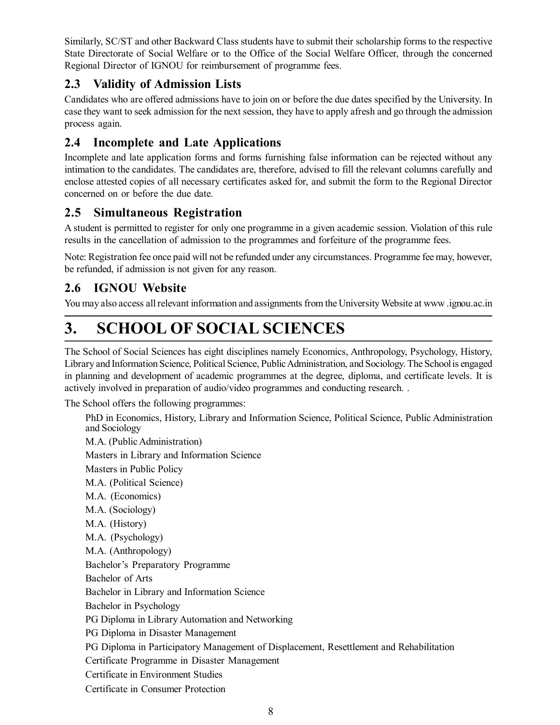Similarly, SC/ST and other Backward Class students have to submit their scholarship forms to the respective State Directorate of Social Welfare or to the Office of the Social Welfare Officer, through the concerned Regional Director of IGNOU for reimbursement of programme fees.

## **2.3 Validity of Admission Lists**

Candidates who are offered admissions have to join on or before the due dates specified by the University. In case they want to seek admission for the next session, they have to apply afresh and go through the admission process again.

## **2.4 Incomplete and Late Applications**

Incomplete and late application forms and forms furnishing false information can be rejected without any intimation to the candidates. The candidates are, therefore, advised to fill the relevant columns carefully and enclose attested copies of all necessary certificates asked for, and submit the form to the Regional Director concerned on or before the due date.

## **2.5 Simultaneous Registration**

A student is permitted to register for only one programme in a given academic session. Violation of this rule results in the cancellation of admission to the programmes and forfeiture of the programme fees.

Note: Registration fee once paid will not be refunded under any circumstances. Programme fee may, however, be refunded, if admission is not given for any reason.

## **2.6 IGNOU Website**

You may also access all relevant information and assignments from the University Website at www .ignou.ac.in

# **3. SCHOOL OF SOCIAL SCIENCES**

The School of Social Sciences has eight disciplines namely Economics, Anthropology, Psychology, History, Library and Information Science, Political Science, Public Administration, and Sociology. The School is engaged in planning and development of academic programmes at the degree, diploma, and certificate levels. It is actively involved in preparation of audio/video programmes and conducting research. .

The School offers the following programmes:

PhD in Economics, History, Library and Information Science, Political Science, Public Administration and Sociology M.A. (Public Administration) Masters in Library and Information Science Masters in Public Policy M.A. (Political Science) M.A. (Economics) M.A. (Sociology) M.A. (History) M.A. (Psychology) M.A. (Anthropology) Bachelor's Preparatory Programme Bachelor of Arts Bachelor in Library and Information Science Bachelor in Psychology PG Diploma in Library Automation and Networking PG Diploma in Disaster Management PG Diploma in Participatory Management of Displacement, Resettlement and Rehabilitation Certificate Programme in Disaster Management Certificate in Environment Studies Certificate in Consumer Protection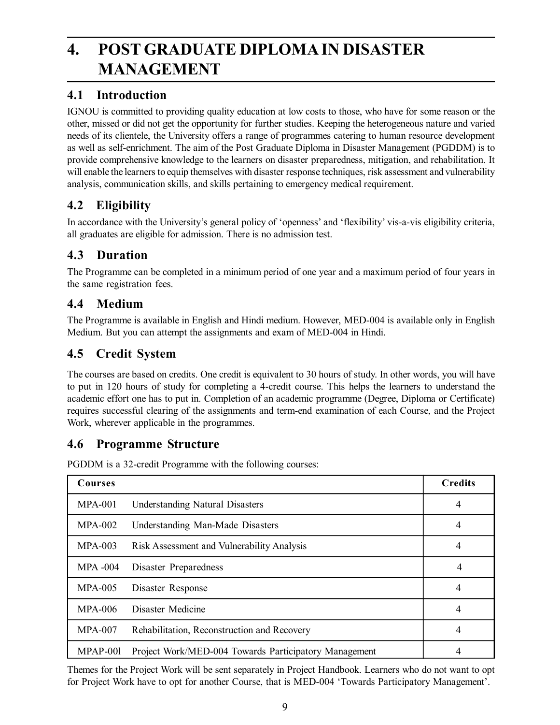# **4. POST GRADUATE DIPLOMA IN DISASTER MANAGEMENT**

## **4.1 Introduction**

IGNOU is committed to providing quality education at low costs to those, who have for some reason or the other, missed or did not get the opportunity for further studies. Keeping the heterogeneous nature and varied needs of its clientele, the University offers a range of programmes catering to human resource development as well as self-enrichment. The aim of the Post Graduate Diploma in Disaster Management (PGDDM) is to provide comprehensive knowledge to the learners on disaster preparedness, mitigation, and rehabilitation. It will enable the learners to equip themselves with disaster response techniques, risk assessment and vulnerability analysis, communication skills, and skills pertaining to emergency medical requirement.

## **4.2 Eligibility**

In accordance with the University's general policy of 'openness' and 'flexibility' vis-a-vis eligibility criteria, all graduates are eligible for admission. There is no admission test.

## **4.3 Duration**

The Programme can be completed in a minimum period of one year and a maximum period of four years in the same registration fees.

## **4.4 Medium**

The Programme is available in English and Hindi medium. However, MED-004 is available only in English Medium. But you can attempt the assignments and exam of MED-004 in Hindi.

## **4.5 Credit System**

The courses are based on credits. One credit is equivalent to 30 hours of study. In other words, you will have to put in 120 hours of study for completing a 4-credit course. This helps the learners to understand the academic effort one has to put in. Completion of an academic programme (Degree, Diploma or Certificate) requires successful clearing of the assignments and term-end examination of each Course, and the Project Work, wherever applicable in the programmes.

## **4.6 Programme Structure**

PGDDM is a 32-credit Programme with the following courses:

| <b>Courses</b> |                                                       | <b>Credits</b> |
|----------------|-------------------------------------------------------|----------------|
| $MPA-001$      | <b>Understanding Natural Disasters</b>                | 4              |
| $MPA-002$      | Understanding Man-Made Disasters                      | 4              |
| $MPA-003$      | Risk Assessment and Vulnerability Analysis            | 4              |
| $MPA -004$     | Disaster Preparedness                                 | 4              |
| $MPA-005$      | Disaster Response                                     | 4              |
| <b>MPA-006</b> | Disaster Medicine                                     | 4              |
| $MPA-007$      | Rehabilitation, Reconstruction and Recovery           | 4              |
| MPAP-001       | Project Work/MED-004 Towards Participatory Management | 4              |

Themes for the Project Work will be sent separately in Project Handbook. Learners who do not want to opt for Project Work have to opt for another Course, that is MED-004 'Towards Participatory Management'.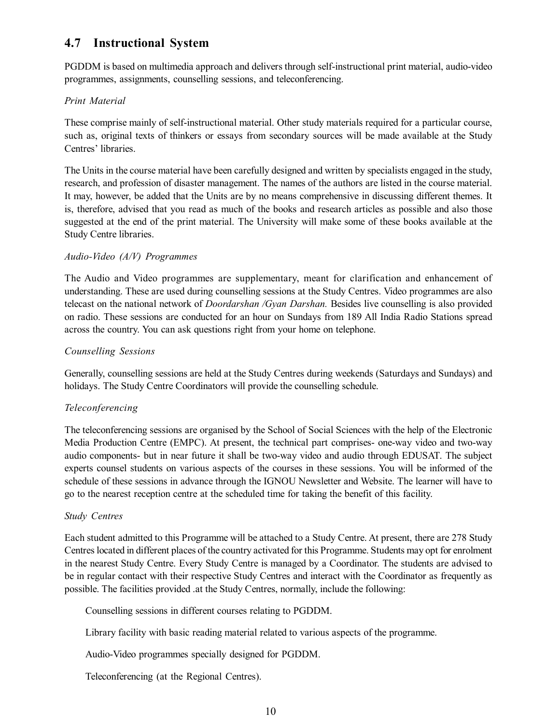## **4.7 Instructional System**

PGDDM is based on multimedia approach and delivers through self-instructional print material, audio-video programmes, assignments, counselling sessions, and teleconferencing.

#### *Print Material*

These comprise mainly of self-instructional material. Other study materials required for a particular course, such as, original texts of thinkers or essays from secondary sources will be made available at the Study Centres' libraries.

The Units in the course material have been carefully designed and written by specialists engaged in the study, research, and profession of disaster management. The names of the authors are listed in the course material. It may, however, be added that the Units are by no means comprehensive in discussing different themes. It is, therefore, advised that you read as much of the books and research articles as possible and also those suggested at the end of the print material. The University will make some of these books available at the Study Centre libraries.

#### *Audio-Video (A/V) Programmes*

The Audio and Video programmes are supplementary, meant for clarification and enhancement of understanding. These are used during counselling sessions at the Study Centres. Video programmes are also telecast on the national network of *Doordarshan /Gyan Darshan.* Besides live counselling is also provided on radio. These sessions are conducted for an hour on Sundays from 189 All India Radio Stations spread across the country. You can ask questions right from your home on telephone.

#### *Counselling Sessions*

Generally, counselling sessions are held at the Study Centres during weekends (Saturdays and Sundays) and holidays. The Study Centre Coordinators will provide the counselling schedule.

#### *Teleconferencing*

The teleconferencing sessions are organised by the School of Social Sciences with the help of the Electronic Media Production Centre (EMPC). At present, the technical part comprises- one-way video and two-way audio components- but in near future it shall be two-way video and audio through EDUSAT. The subject experts counsel students on various aspects of the courses in these sessions. You will be informed of the schedule of these sessions in advance through the IGNOU Newsletter and Website. The learner will have to go to the nearest reception centre at the scheduled time for taking the benefit of this facility.

#### *Study Centres*

Each student admitted to this Programme will be attached to a Study Centre. At present, there are 278 Study Centres located in different places of the country activated for this Programme. Students may opt for enrolment in the nearest Study Centre. Every Study Centre is managed by a Coordinator. The students are advised to be in regular contact with their respective Study Centres and interact with the Coordinator as frequently as possible. The facilities provided .at the Study Centres, normally, include the following:

Counselling sessions in different courses relating to PGDDM.

Library facility with basic reading material related to various aspects of the programme.

Audio-Video programmes specially designed for PGDDM.

Teleconferencing (at the Regional Centres).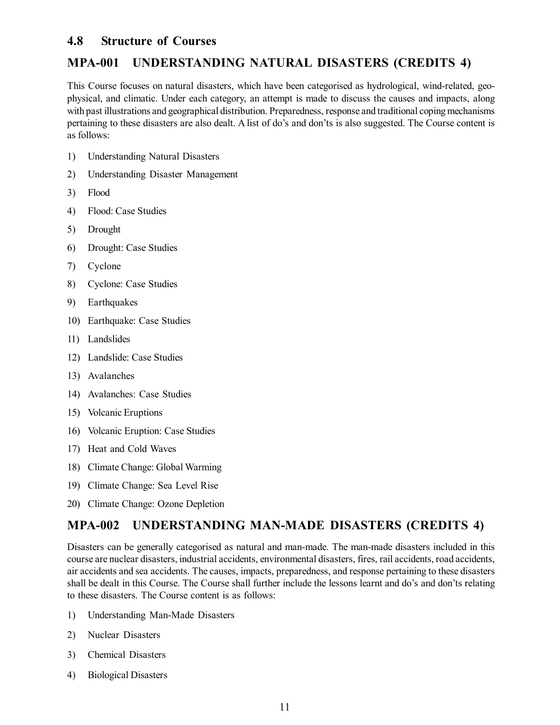## **4.8 Structure of Courses**

## **MPA-001 UNDERSTANDING NATURAL DISASTERS (CREDITS 4)**

This Course focuses on natural disasters, which have been categorised as hydrological, wind-related, geophysical, and climatic. Under each category, an attempt is made to discuss the causes and impacts, along with past illustrations and geographical distribution. Preparedness, response and traditional coping mechanisms pertaining to these disasters are also dealt. A list of do's and don'ts is also suggested. The Course content is as follows:

- 1) Understanding Natural Disasters
- 2) Understanding Disaster Management
- 3) Flood
- 4) Flood: Case Studies
- 5) Drought
- 6) Drought: Case Studies
- 7) Cyclone
- 8) Cyclone: Case Studies
- 9) Earthquakes
- 10) Earthquake: Case Studies
- 11) Landslides
- 12) Landslide: Case Studies
- 13) Avalanches
- 14) Avalanches: Case Studies
- 15) Volcanic Eruptions
- 16) Volcanic Eruption: Case Studies
- 17) Heat and Cold Waves
- 18) Climate Change: Global Warming
- 19) Climate Change: Sea Level Rise
- 20) Climate Change: Ozone Depletion

## **MPA-002 UNDERSTANDING MAN-MADE DISASTERS (CREDITS 4)**

Disasters can be generally categorised as natural and man-made. The man-made disasters included in this course are nuclear disasters, industrial accidents, environmental disasters, fires, rail accidents, road accidents, air accidents and sea accidents. The causes, impacts, preparedness, and response pertaining to these disasters shall be dealt in this Course. The Course shall further include the lessons learnt and do's and don'ts relating to these disasters. The Course content is as follows:

- 1) Understanding Man-Made Disasters
- 2) Nuclear Disasters
- 3) Chemical Disasters
- 4) Biological Disasters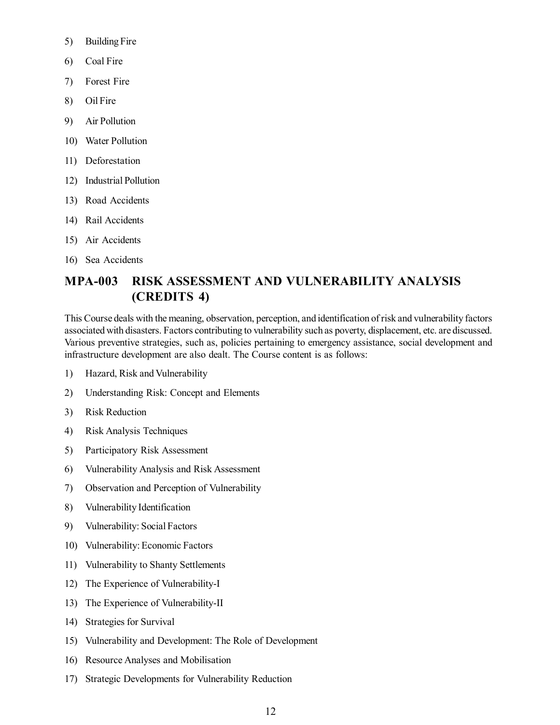- 5) Building Fire
- 6) Coal Fire
- 7) Forest Fire
- 8) Oil Fire
- 9) Air Pollution
- 10) Water Pollution
- 11) Deforestation
- 12) Industrial Pollution
- 13) Road Accidents
- 14) Rail Accidents
- 15) Air Accidents
- 16) Sea Accidents

## **MPA-003 RISK ASSESSMENT AND VULNERABILITY ANALYSIS (CREDITS 4)**

This Course deals with the meaning, observation, perception, and identification of risk and vulnerability factors associated with disasters. Factors contributing to vulnerability such as poverty, displacement, etc. are discussed. Various preventive strategies, such as, policies pertaining to emergency assistance, social development and infrastructure development are also dealt. The Course content is as follows:

- 1) Hazard, Risk and Vulnerability
- 2) Understanding Risk: Concept and Elements
- 3) Risk Reduction
- 4) Risk Analysis Techniques
- 5) Participatory Risk Assessment
- 6) Vulnerability Analysis and Risk Assessment
- 7) Observation and Perception of Vulnerability
- 8) Vulnerability Identification
- 9) Vulnerability: Social Factors
- 10) Vulnerability: Economic Factors
- 11) Vulnerability to Shanty Settlements
- 12) The Experience of Vulnerability-I
- 13) The Experience of Vulnerability-II
- 14) Strategies for Survival
- 15) Vulnerability and Development: The Role of Development
- 16) Resource Analyses and Mobilisation
- 17) Strategic Developments for Vulnerability Reduction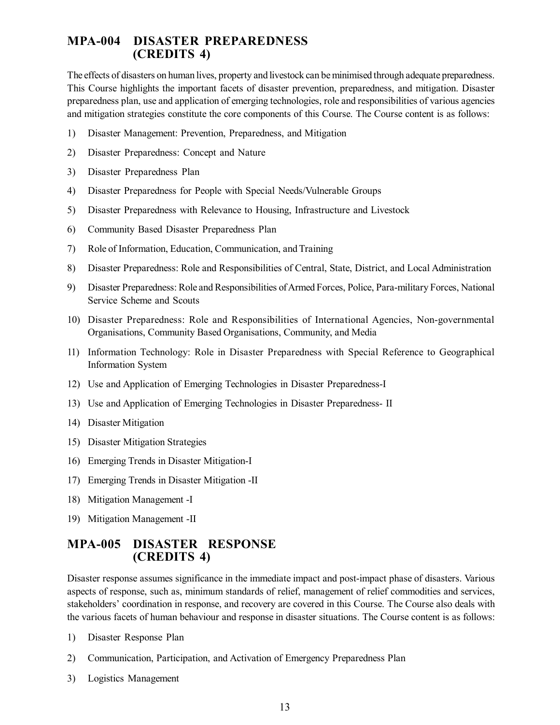### **MPA-004 DISASTER PREPAREDNESS (CREDITS 4)**

The effects of disasters on human lives, property and livestock can be minimised through adequate preparedness. This Course highlights the important facets of disaster prevention, preparedness, and mitigation. Disaster preparedness plan, use and application of emerging technologies, role and responsibilities of various agencies and mitigation strategies constitute the core components of this Course. The Course content is as follows:

- 1) Disaster Management: Prevention, Preparedness, and Mitigation
- 2) Disaster Preparedness: Concept and Nature
- 3) Disaster Preparedness Plan
- 4) Disaster Preparedness for People with Special Needs/Vulnerable Groups
- 5) Disaster Preparedness with Relevance to Housing, Infrastructure and Livestock
- 6) Community Based Disaster Preparedness Plan
- 7) Role of Information, Education, Communication, and Training
- 8) Disaster Preparedness: Role and Responsibilities of Central, State, District, and Local Administration
- 9) Disaster Preparedness: Role and Responsibilities of Armed Forces, Police, Para-military Forces, National Service Scheme and Scouts
- 10) Disaster Preparedness: Role and Responsibilities of International Agencies, Non-governmental Organisations, Community Based Organisations, Community, and Media
- 11) Information Technology: Role in Disaster Preparedness with Special Reference to Geographical Information System
- 12) Use and Application of Emerging Technologies in Disaster Preparedness-I
- 13) Use and Application of Emerging Technologies in Disaster Preparedness- II
- 14) Disaster Mitigation
- 15) Disaster Mitigation Strategies
- 16) Emerging Trends in Disaster Mitigation-I
- 17) Emerging Trends in Disaster Mitigation -II
- 18) Mitigation Management -I
- 19) Mitigation Management -II

## **MPA-005 DISASTER RESPONSE (CREDITS 4)**

Disaster response assumes significance in the immediate impact and post-impact phase of disasters. Various aspects of response, such as, minimum standards of relief, management of relief commodities and services, stakeholders' coordination in response, and recovery are covered in this Course. The Course also deals with the various facets of human behaviour and response in disaster situations. The Course content is as follows:

- 1) Disaster Response Plan
- 2) Communication, Participation, and Activation of Emergency Preparedness Plan
- 3) Logistics Management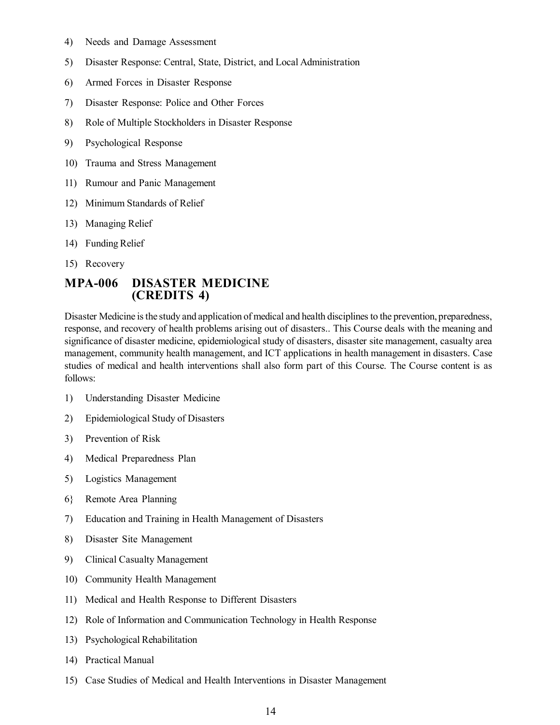- 4) Needs and Damage Assessment
- 5) Disaster Response: Central, State, District, and Local Administration
- 6) Armed Forces in Disaster Response
- 7) Disaster Response: Police and Other Forces
- 8) Role of Multiple Stockholders in Disaster Response
- 9) Psychological Response
- 10) Trauma and Stress Management
- 11) Rumour and Panic Management
- 12) Minimum Standards of Relief
- 13) Managing Relief
- 14) Funding Relief
- 15) Recovery

#### **MPA-006 DISASTER MEDICINE (CREDITS 4)**

Disaster Medicine is the study and application of medical and health disciplines to the prevention, preparedness, response, and recovery of health problems arising out of disasters.. This Course deals with the meaning and significance of disaster medicine, epidemiological study of disasters, disaster site management, casualty area management, community health management, and ICT applications in health management in disasters. Case studies of medical and health interventions shall also form part of this Course. The Course content is as follows:

- 1) Understanding Disaster Medicine
- 2) Epidemiological Study of Disasters
- 3) Prevention of Risk
- 4) Medical Preparedness Plan
- 5) Logistics Management
- 6} Remote Area Planning
- 7) Education and Training in Health Management of Disasters
- 8) Disaster Site Management
- 9) Clinical Casualty Management
- 10) Community Health Management
- 11) Medical and Health Response to Different Disasters
- 12) Role of Information and Communication Technology in Health Response
- 13) Psychological Rehabilitation
- 14) Practical Manual
- 15) Case Studies of Medical and Health Interventions in Disaster Management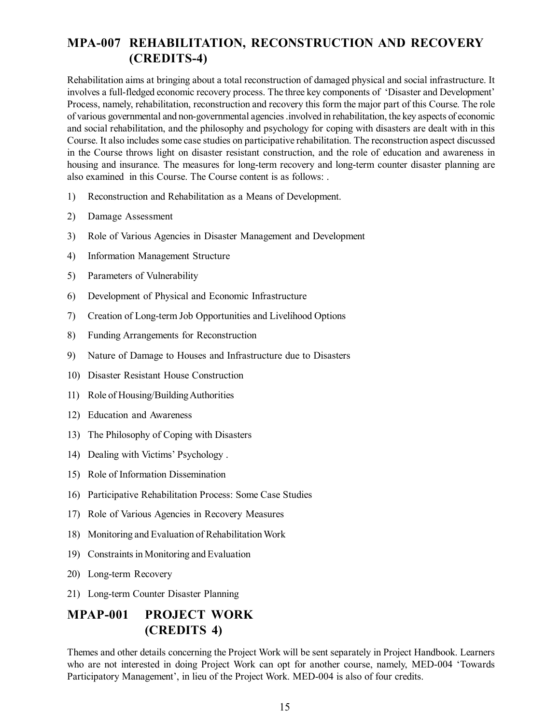## **MPA-007 REHABILITATION, RECONSTRUCTION AND RECOVERY (CREDITS-4)**

Rehabilitation aims at bringing about a total reconstruction of damaged physical and social infrastructure. It involves a full-fledged economic recovery process. The three key components of 'Disaster and Development' Process, namely, rehabilitation, reconstruction and recovery this form the major part of this Course. The role of various governmental and non-governmental agencies .involved in rehabilitation, the key aspects of economic and social rehabilitation, and the philosophy and psychology for coping with disasters are dealt with in this Course. It also includes some case studies on participative rehabilitation. The reconstruction aspect discussed in the Course throws light on disaster resistant construction, and the role of education and awareness in housing and insurance. The measures for long-term recovery and long-term counter disaster planning are also examined in this Course. The Course content is as follows: .

- 1) Reconstruction and Rehabilitation as a Means of Development.
- 2) Damage Assessment
- 3) Role of Various Agencies in Disaster Management and Development
- 4) Information Management Structure
- 5) Parameters of Vulnerability
- 6) Development of Physical and Economic Infrastructure
- 7) Creation of Long-term Job Opportunities and Livelihood Options
- 8) Funding Arrangements for Reconstruction
- 9) Nature of Damage to Houses and Infrastructure due to Disasters
- 10) Disaster Resistant House Construction
- 11) Role of Housing/Building Authorities
- 12) Education and Awareness
- 13) The Philosophy of Coping with Disasters
- 14) Dealing with Victims' Psychology .
- 15) Role of Information Dissemination
- 16) Participative Rehabilitation Process: Some Case Studies
- 17) Role of Various Agencies in Recovery Measures
- 18) Monitoring and Evaluation of Rehabilitation Work
- 19) Constraints in Monitoring and Evaluation
- 20) Long-term Recovery
- 21) Long-term Counter Disaster Planning

## **MPAP-001 PROJECT WORK (CREDITS 4)**

Themes and other details concerning the Project Work will be sent separately in Project Handbook. Learners who are not interested in doing Project Work can opt for another course, namely, MED-004 'Towards Participatory Management', in lieu of the Project Work. MED-004 is also of four credits.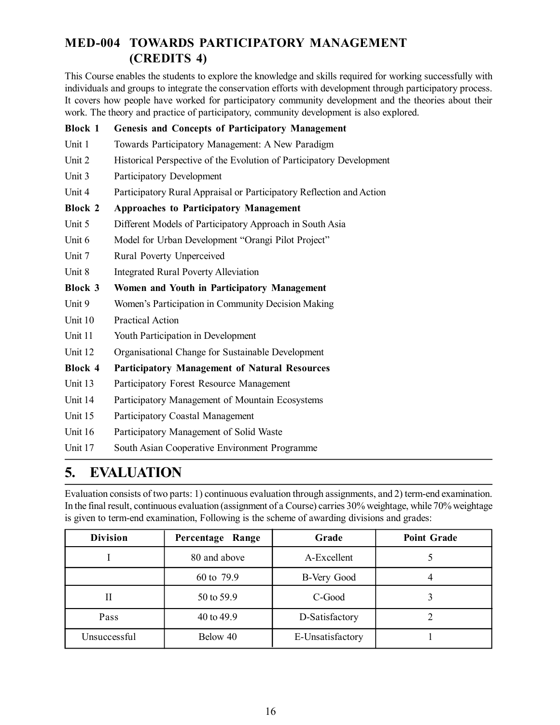## **MED-004 TOWARDS PARTICIPATORY MANAGEMENT (CREDITS 4)**

This Course enables the students to explore the knowledge and skills required for working successfully with individuals and groups to integrate the conservation efforts with development through participatory process. It covers how people have worked for participatory community development and the theories about their work. The theory and practice of participatory, community development is also explored.

| <b>Block 1</b> | <b>Genesis and Concepts of Participatory Management</b>                                                              |
|----------------|----------------------------------------------------------------------------------------------------------------------|
| Unit 1         | Towards Participatory Management: A New Paradigm                                                                     |
| Unit 2         | Historical Perspective of the Evolution of Participatory Development                                                 |
| Unit 3         | Participatory Development                                                                                            |
| Unit 4         | Participatory Rural Appraisal or Participatory Reflection and Action                                                 |
| <b>Block 2</b> | <b>Approaches to Participatory Management</b>                                                                        |
| Unit 5         | Different Models of Participatory Approach in South Asia                                                             |
| Unit 6         | Model for Urban Development "Orangi Pilot Project"                                                                   |
| Unit 7         | Rural Poverty Unperceived                                                                                            |
| Unit 8         | <b>Integrated Rural Poverty Alleviation</b>                                                                          |
| <b>Block 3</b> | Women and Youth in Participatory Management                                                                          |
| Unit 9         | Women's Participation in Community Decision Making                                                                   |
| Unit 10        | <b>Practical Action</b>                                                                                              |
| Unit 11        | Youth Participation in Development                                                                                   |
| Unit 12        | Organisational Change for Sustainable Development                                                                    |
| <b>Block 4</b> | <b>Participatory Management of Natural Resources</b>                                                                 |
| Unit 13        | Participatory Forest Resource Management                                                                             |
| Unit 14        | Participatory Management of Mountain Ecosystems                                                                      |
| Unit 15        | Participatory Coastal Management                                                                                     |
| Unit 16        | Participatory Management of Solid Waste                                                                              |
| Unit 17        | South Asian Cooperative Environment Programme                                                                        |
|                | $\mathbf{m}$ $\mathbf{r}$ $\mathbf{r}$ $\mathbf{r}$ $\mathbf{r}$ $\mathbf{r}$ $\mathbf{m}$ $\mathbf{r}$ $\mathbf{r}$ |

## **5. EVALUATION**

Evaluation consists of two parts: 1) continuous evaluation through assignments, and 2) term-end examination. In the final result, continuous evaluation (assignment of a Course) carries 30% weightage, while 70% weightage is given to term-end examination, Following is the scheme of awarding divisions and grades:

| <b>Division</b> | Percentage Range | Grade            | <b>Point Grade</b> |
|-----------------|------------------|------------------|--------------------|
|                 | 80 and above     | A-Excellent      |                    |
|                 | 60 to 79.9       | B-Very Good      | 4                  |
| Н               | 50 to 59.9       | C-Good           |                    |
| Pass            | 40 to 49.9       | D-Satisfactory   |                    |
| Unsuccessful    | Below 40         | E-Unsatisfactory |                    |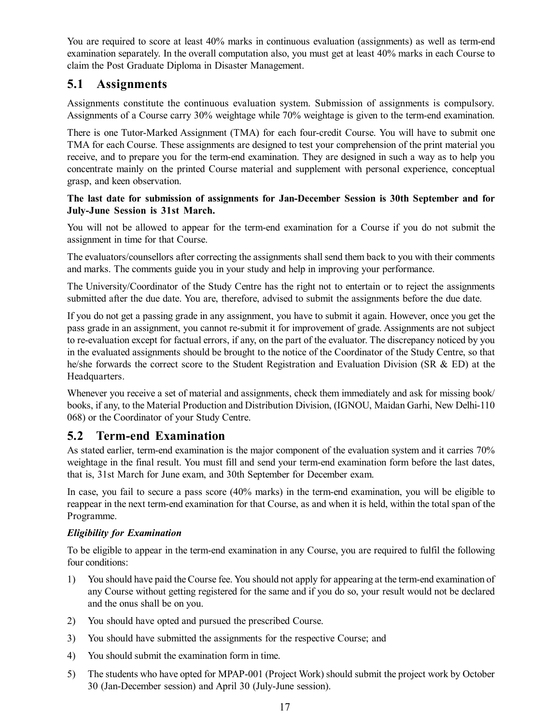You are required to score at least 40% marks in continuous evaluation (assignments) as well as term-end examination separately. In the overall computation also, you must get at least 40% marks in each Course to claim the Post Graduate Diploma in Disaster Management.

## **5.1 Assignments**

Assignments constitute the continuous evaluation system. Submission of assignments is compulsory. Assignments of a Course carry 30% weightage while 70% weightage is given to the term-end examination.

There is one Tutor-Marked Assignment (TMA) for each four-credit Course. You will have to submit one TMA for each Course. These assignments are designed to test your comprehension of the print material you receive, and to prepare you for the term-end examination. They are designed in such a way as to help you concentrate mainly on the printed Course material and supplement with personal experience, conceptual grasp, and keen observation.

#### **The last date for submission of assignments for Jan-December Session is 30th September and for July-June Session is 31st March.**

You will not be allowed to appear for the term-end examination for a Course if you do not submit the assignment in time for that Course.

The evaluators/counsellors after correcting the assignments shall send them back to you with their comments and marks. The comments guide you in your study and help in improving your performance.

The University/Coordinator of the Study Centre has the right not to entertain or to reject the assignments submitted after the due date. You are, therefore, advised to submit the assignments before the due date.

If you do not get a passing grade in any assignment, you have to submit it again. However, once you get the pass grade in an assignment, you cannot re-submit it for improvement of grade. Assignments are not subject to re-evaluation except for factual errors, if any, on the part of the evaluator. The discrepancy noticed by you in the evaluated assignments should be brought to the notice of the Coordinator of the Study Centre, so that he/she forwards the correct score to the Student Registration and Evaluation Division (SR & ED) at the Headquarters.

Whenever you receive a set of material and assignments, check them immediately and ask for missing book/ books, if any, to the Material Production and Distribution Division, (IGNOU, Maidan Garhi, New Delhi-110 068) or the Coordinator of your Study Centre.

### **5.2 Term-end Examination**

As stated earlier, term-end examination is the major component of the evaluation system and it carries 70% weightage in the final result. You must fill and send your term-end examination form before the last dates, that is, 31st March for June exam, and 30th September for December exam.

In case, you fail to secure a pass score (40% marks) in the term-end examination, you will be eligible to reappear in the next term-end examination for that Course, as and when it is held, within the total span of the Programme.

#### *Eligibility for Examination*

To be eligible to appear in the term-end examination in any Course, you are required to fulfil the following four conditions:

- 1) You should have paid the Course fee. You should not apply for appearing at the term-end examination of any Course without getting registered for the same and if you do so, your result would not be declared and the onus shall be on you.
- 2) You should have opted and pursued the prescribed Course.
- 3) You should have submitted the assignments for the respective Course; and
- 4) You should submit the examination form in time.
- 5) The students who have opted for MPAP-001 (Project Work) should submit the project work by October 30 (Jan-December session) and April 30 (July-June session).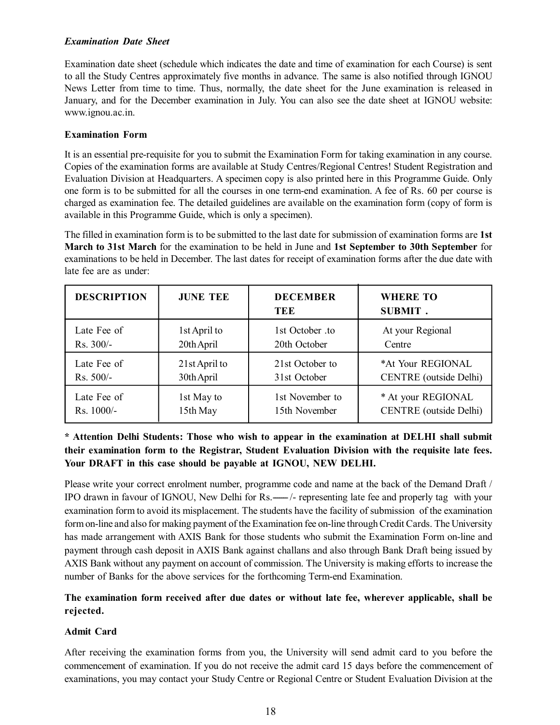#### *Examination Date Sheet*

Examination date sheet (schedule which indicates the date and time of examination for each Course) is sent to all the Study Centres approximately five months in advance. The same is also notified through IGNOU News Letter from time to time. Thus, normally, the date sheet for the June examination is released in January, and for the December examination in July. You can also see the date sheet at IGNOU website: www.ignou.ac.in.

#### **Examination Form**

It is an essential pre-requisite for you to submit the Examination Form for taking examination in any course. Copies of the examination forms are available at Study Centres/Regional Centres! Student Registration and Evaluation Division at Headquarters. A specimen copy is also printed here in this Programme Guide. Only one form is to be submitted for all the courses in one term-end examination. A fee of Rs. 60 per course is charged as examination fee. The detailed guidelines are available on the examination form (copy of form is available in this Programme Guide, which is only a specimen).

The filled in examination form is to be submitted to the last date for submission of examination forms are **1st March to 31st March** for the examination to be held in June and **1st September to 30th September** for examinations to be held in December. The last dates for receipt of examination forms after the due date with late fee are as under:

| <b>DESCRIPTION</b> | <b>JUNE TEE</b> | <b>DECEMBER</b><br>TEE | <b>WHERE TO</b><br><b>SUBMIT.</b> |
|--------------------|-----------------|------------------------|-----------------------------------|
| Late Fee of        | 1st April to    | 1st October .to        | At your Regional                  |
| $Rs. 300/-$        | 20th April      | 20th October           | Centre                            |
| Late Fee of        | 21st April to   | 21st October to        | *At Your REGIONAL                 |
| $Rs. 500/-$        | 30th April      | 31st October           | <b>CENTRE</b> (outside Delhi)     |
| Late Fee of        | 1st May to      | 1st November to        | * At your REGIONAL                |
| $Rs. 1000/-$       | 15th May        | 15th November          | <b>CENTRE</b> (outside Delhi)     |

#### **\* Attention Delhi Students: Those who wish to appear in the examination at DELHI shall submit their examination form to the Registrar, Student Evaluation Division with the requisite late fees. Your DRAFT in this case should be payable at IGNOU, NEW DELHI.**

Please write your correct enrolment number, programme code and name at the back of the Demand Draft / IPO drawn in favour of IGNOU, New Delhi for Rs.— $\rightarrow$ - representing late fee and properly tag with your examination form to avoid its misplacement. The students have the facility of submission of the examination form on-line and also for making payment of the Examination fee on-line through Credit Cards. The University has made arrangement with AXIS Bank for those students who submit the Examination Form on-line and payment through cash deposit in AXIS Bank against challans and also through Bank Draft being issued by AXIS Bank without any payment on account of commission. The University is making efforts to increase the number of Banks for the above services for the forthcoming Term-end Examination.

#### **The examination form received after due dates or without late fee, wherever applicable, shall be rejected.**

#### **Admit Card**

After receiving the examination forms from you, the University will send admit card to you before the commencement of examination. If you do not receive the admit card 15 days before the commencement of examinations, you may contact your Study Centre or Regional Centre or Student Evaluation Division at the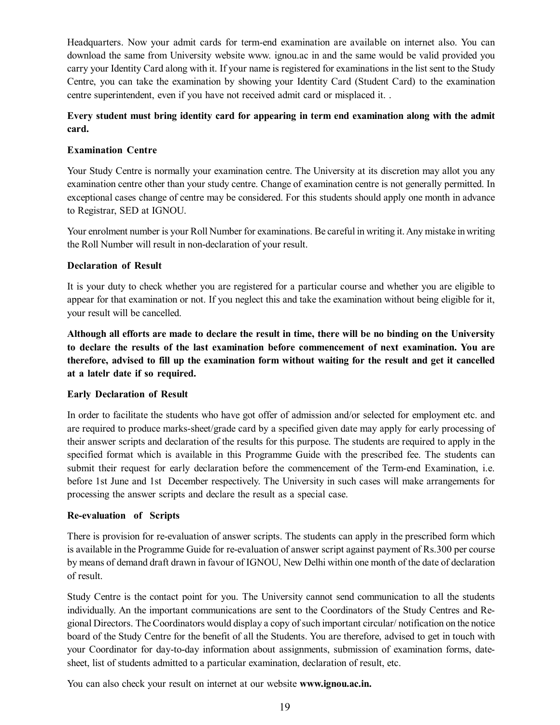Headquarters. Now your admit cards for term-end examination are available on internet also. You can download the same from University website www. ignou.ac in and the same would be valid provided you carry your Identity Card along with it. If your name is registered for examinations in the list sent to the Study Centre, you can take the examination by showing your Identity Card (Student Card) to the examination centre superintendent, even if you have not received admit card or misplaced it. .

#### **Every student must bring identity card for appearing in term end examination along with the admit card.**

#### **Examination Centre**

Your Study Centre is normally your examination centre. The University at its discretion may allot you any examination centre other than your study centre. Change of examination centre is not generally permitted. In exceptional cases change of centre may be considered. For this students should apply one month in advance to Registrar, SED at IGNOU.

Your enrolment number is your Roll Number for examinations. Be careful in writing it. Any mistake in writing the Roll Number will result in non-declaration of your result.

#### **Declaration of Result**

It is your duty to check whether you are registered for a particular course and whether you are eligible to appear for that examination or not. If you neglect this and take the examination without being eligible for it, your result will be cancelled.

**Although all efforts are made to declare the result in time, there will be no binding on the University to declare the results of the last examination before commencement of next examination. You are therefore, advised to fill up the examination form without waiting for the result and get it cancelled at a latelr date if so required.**

#### **Early Declaration of Result**

In order to facilitate the students who have got offer of admission and/or selected for employment etc. and are required to produce marks-sheet/grade card by a specified given date may apply for early processing of their answer scripts and declaration of the results for this purpose. The students are required to apply in the specified format which is available in this Programme Guide with the prescribed fee. The students can submit their request for early declaration before the commencement of the Term-end Examination, i.e. before 1st June and 1st December respectively. The University in such cases will make arrangements for processing the answer scripts and declare the result as a special case.

#### **Re-evaluation of Scripts**

There is provision for re-evaluation of answer scripts. The students can apply in the prescribed form which is available in the Programme Guide for re-evaluation of answer script against payment of Rs.300 per course by means of demand draft drawn in favour of IGNOU, New Delhi within one month of the date of declaration of result.

Study Centre is the contact point for you. The University cannot send communication to all the students individually. An the important communications are sent to the Coordinators of the Study Centres and Regional Directors. The Coordinators would display a copy of such important circular/ notification on the notice board of the Study Centre for the benefit of all the Students. You are therefore, advised to get in touch with your Coordinator for day-to-day information about assignments, submission of examination forms, datesheet, list of students admitted to a particular examination, declaration of result, etc.

You can also check your result on internet at our website **www.ignou.ac.in.**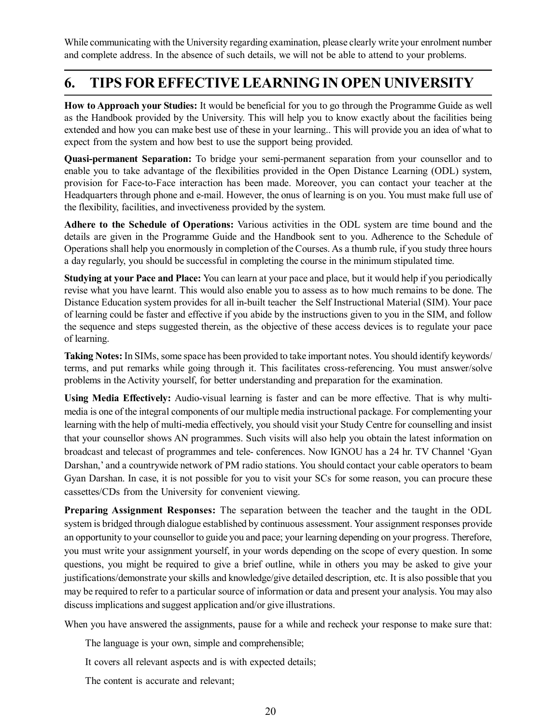While communicating with the University regarding examination, please clearly write your enrolment number and complete address. In the absence of such details, we will not be able to attend to your problems.

## **6. TIPS FOR EFFECTIVE LEARNING IN OPEN UNIVERSITY**

**How to Approach your Studies:** It would be beneficial for you to go through the Programme Guide as well as the Handbook provided by the University. This will help you to know exactly about the facilities being extended and how you can make best use of these in your learning.. This will provide you an idea of what to expect from the system and how best to use the support being provided.

**Quasi-permanent Separation:** To bridge your semi-permanent separation from your counsellor and to enable you to take advantage of the flexibilities provided in the Open Distance Learning (ODL) system, provision for Face-to-Face interaction has been made. Moreover, you can contact your teacher at the Headquarters through phone and e-mail. However, the onus of learning is on you. You must make full use of the flexibility, facilities, and invectiveness provided by the system.

**Adhere to the Schedule of Operations:** Various activities in the ODL system are time bound and the details are given in the Programme Guide and the Handbook sent to you. Adherence to the Schedule of Operations shall help you enormously in completion of the Courses. As a thumb rule, if you study three hours a day regularly, you should be successful in completing the course in the minimum stipulated time.

**Studying at your Pace and Place:** You can learn at your pace and place, but it would help if you periodically revise what you have learnt. This would also enable you to assess as to how much remains to be done. The Distance Education system provides for all in-built teacher the Self Instructional Material (SIM). Your pace of learning could be faster and effective if you abide by the instructions given to you in the SIM, and follow the sequence and steps suggested therein, as the objective of these access devices is to regulate your pace of learning.

**Taking Notes:** In SIMs, some space has been provided to take important notes. You should identify keywords/ terms, and put remarks while going through it. This facilitates cross-referencing. You must answer/solve problems in the Activity yourself, for better understanding and preparation for the examination.

**Using Media Effectively:** Audio-visual learning is faster and can be more effective. That is why multimedia is one of the integral components of our multiple media instructional package. For complementing your learning with the help of multi-media effectively, you should visit your Study Centre for counselling and insist that your counsellor shows AN programmes. Such visits will also help you obtain the latest information on broadcast and telecast of programmes and tele- conferences. Now IGNOU has a 24 hr. TV Channel 'Gyan Darshan,' and a countrywide network of PM radio stations. You should contact your cable operators to beam Gyan Darshan. In case, it is not possible for you to visit your SCs for some reason, you can procure these cassettes/CDs from the University for convenient viewing.

**Preparing Assignment Responses:** The separation between the teacher and the taught in the ODL system is bridged through dialogue established by continuous assessment. Your assignment responses provide an opportunity to your counsellor to guide you and pace; your learning depending on your progress. Therefore, you must write your assignment yourself, in your words depending on the scope of every question. In some questions, you might be required to give a brief outline, while in others you may be asked to give your justifications/demonstrate your skills and knowledge/give detailed description, etc. It is also possible that you may be required to refer to a particular source of information or data and present your analysis. You may also discuss implications and suggest application and/or give illustrations.

When you have answered the assignments, pause for a while and recheck your response to make sure that:

The language is your own, simple and comprehensible;

It covers all relevant aspects and is with expected details;

The content is accurate and relevant;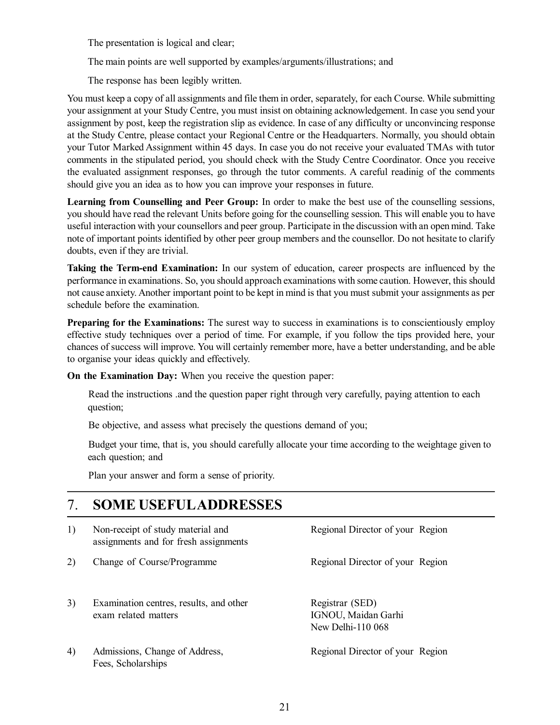The presentation is logical and clear;

The main points are well supported by examples/arguments/illustrations; and

The response has been legibly written.

You must keep a copy of all assignments and file them in order, separately, for each Course. While submitting your assignment at your Study Centre, you must insist on obtaining acknowledgement. In case you send your assignment by post, keep the registration slip as evidence. In case of any difficulty or unconvincing response at the Study Centre, please contact your Regional Centre or the Headquarters. Normally, you should obtain your Tutor Marked Assignment within 45 days. In case you do not receive your evaluated TMAs with tutor comments in the stipulated period, you should check with the Study Centre Coordinator. Once you receive the evaluated assignment responses, go through the tutor comments. A careful readinig of the comments should give you an idea as to how you can improve your responses in future.

**Learning from Counselling and Peer Group:** In order to make the best use of the counselling sessions, you should have read the relevant Units before going for the counselling session. This will enable you to have useful interaction with your counsellors and peer group. Participate in the discussion with an open mind. Take note of important points identified by other peer group members and the counsellor. Do not hesitate to clarify doubts, even if they are trivial.

**Taking the Term-end Examination:** In our system of education, career prospects are influenced by the performance in examinations. So, you should approach examinations with some caution. However, this should not cause anxiety. Another important point to be kept in mind is that you must submit your assignments as per schedule before the examination.

**Preparing for the Examinations:** The surest way to success in examinations is to conscientiously employ effective study techniques over a period of time. For example, if you follow the tips provided here, your chances of success will improve. You will certainly remember more, have a better understanding, and be able to organise your ideas quickly and effectively.

**On the Examination Day:** When you receive the question paper:

Read the instructions .and the question paper right through very carefully, paying attention to each question;

Be objective, and assess what precisely the questions demand of you;

Budget your time, that is, you should carefully allocate your time according to the weightage given to each question; and

Plan your answer and form a sense of priority.

## 7. **SOME USEFULADDRESSES**

| 1) | Non-receipt of study material and<br>assignments and for fresh assignments | Regional Director of your Region                            |
|----|----------------------------------------------------------------------------|-------------------------------------------------------------|
| 2) | Change of Course/Programme                                                 | Regional Director of your Region                            |
| 3) | Examination centres, results, and other<br>exam related matters            | Registrar (SED)<br>IGNOU, Maidan Garhi<br>New Delhi-110 068 |
| 4) | Admissions, Change of Address,<br>Fees, Scholarships                       | Regional Director of your Region                            |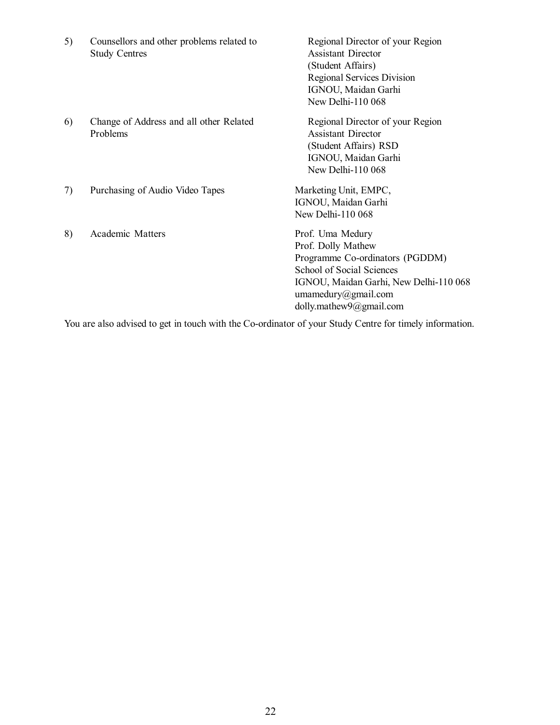| 5) | Counsellors and other problems related to<br><b>Study Centres</b> | Regional Director of your Region<br><b>Assistant Director</b><br>(Student Affairs)<br><b>Regional Services Division</b><br>IGNOU, Maidan Garhi<br>New Delhi-110 068                                |
|----|-------------------------------------------------------------------|----------------------------------------------------------------------------------------------------------------------------------------------------------------------------------------------------|
| 6) | Change of Address and all other Related<br>Problems               | Regional Director of your Region<br><b>Assistant Director</b><br>(Student Affairs) RSD<br>IGNOU, Maidan Garhi<br>New Delhi-110 068                                                                 |
| 7) | Purchasing of Audio Video Tapes                                   | Marketing Unit, EMPC,<br>IGNOU, Maidan Garhi<br>New Delhi-110 068                                                                                                                                  |
| 8) | Academic Matters                                                  | Prof. Uma Medury<br>Prof. Dolly Mathew<br>Programme Co-ordinators (PGDDM)<br>School of Social Sciences<br>IGNOU, Maidan Garhi, New Delhi-110 068<br>umamedury@gmail.com<br>dolly.mathew9@gmail.com |

You are also advised to get in touch with the Co-ordinator of your Study Centre for timely information.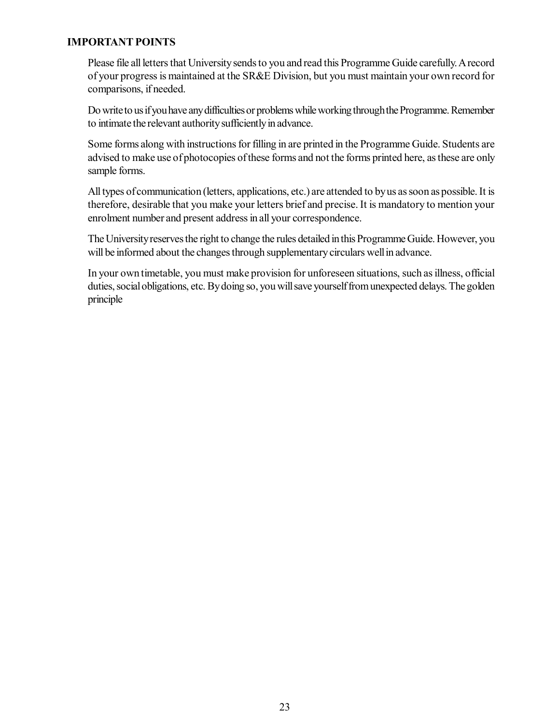#### **IMPORTANT POINTS**

Please file all letters that University sends to you and read this Programme Guide carefully. A record of your progress is maintained at the SR&E Division, but you must maintain your own record for comparisons, if needed.

Do write to us if you have any difficulties or problems while working through the Programme. Remember to intimate the relevant authority sufficiently in advance.

Some forms along with instructions for filling in are printed in the Programme Guide. Students are advised to make use of photocopies of these forms and not the forms printed here, as these are only sample forms.

All types of communication (letters, applications, etc.) are attended to by us as soon as possible. It is therefore, desirable that you make your letters brief and precise. It is mandatory to mention your enrolment number and present address in all your correspondence.

The University reserves the right to change the rules detailed in this Programme Guide. However, you will be informed about the changes through supplementary circulars well in advance.

In your own timetable, you must make provision for unforeseen situations, such as illness, official duties, social obligations, etc. By doing so, you will save yourself from unexpected delays. The golden principle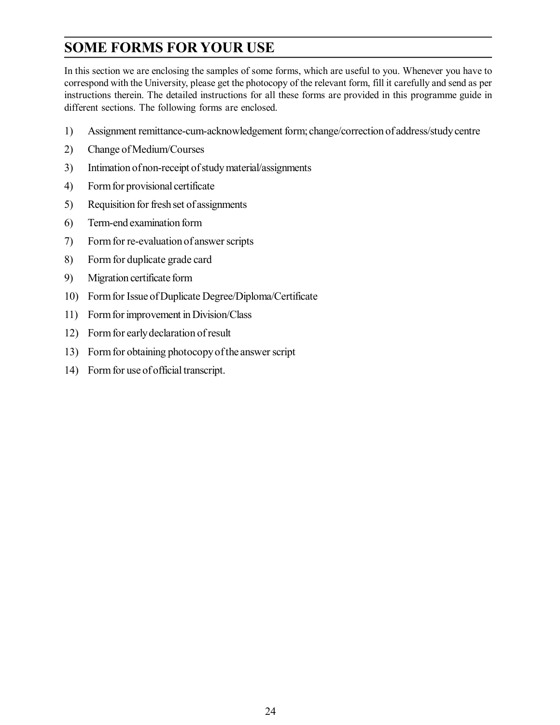## **SOME FORMS FOR YOUR USE**

In this section we are enclosing the samples of some forms, which are useful to you. Whenever you have to correspond with the University, please get the photocopy of the relevant form, fill it carefully and send as per instructions therein. The detailed instructions for all these forms are provided in this programme guide in different sections. The following forms are enclosed.

- 1) Assignment remittance-cum-acknowledgement form; change/correction of address/study centre
- 2) Change of Medium/Courses
- 3) Intimation of non-receipt of study material/assignments
- 4) Form for provisional certificate
- 5) Requisition for fresh set of assignments
- 6) Term-end examination form
- 7) Form for re-evaluation of answer scripts
- 8) Form for duplicate grade card
- 9) Migration certificate form
- 10) Form for Issue of Duplicate Degree/Diploma/Certificate
- 11) Form for improvement in Division/Class
- 12) Form for early declaration of result
- 13) Form for obtaining photocopy of the answer script
- 14) Form for use of official transcript.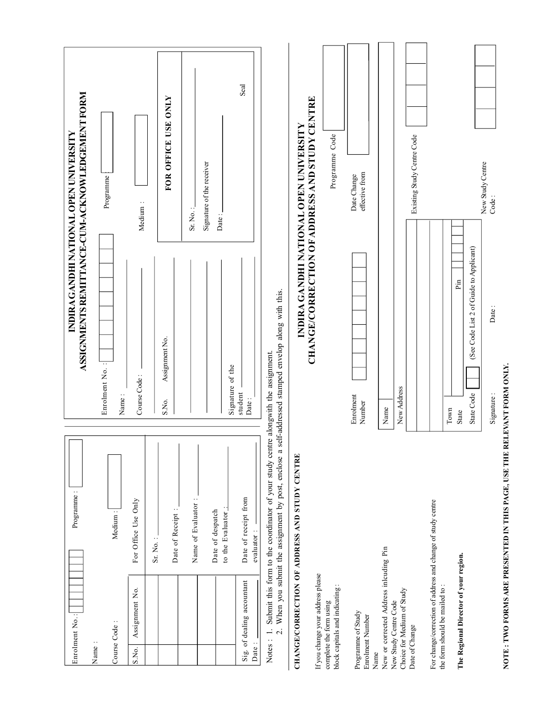| Enrolment No.:                                                                               | Programme:                                                                                                                              |                                                                       | INDIRA GANDHI NATIONAL OPEN UNIVERSITY               |
|----------------------------------------------------------------------------------------------|-----------------------------------------------------------------------------------------------------------------------------------------|-----------------------------------------------------------------------|------------------------------------------------------|
|                                                                                              |                                                                                                                                         |                                                                       | ASSIGNMENTS REMITTANCE-CUM-ACKNOWLEDGEMENT FORM      |
| Name:                                                                                        |                                                                                                                                         | Enrolment No.:                                                        |                                                      |
| Course Code:                                                                                 | Medium:                                                                                                                                 | Name:                                                                 | Programme                                            |
| Assignment No.<br>S.No.                                                                      | For Office Use Only                                                                                                                     | Course Code:                                                          | Medium:                                              |
|                                                                                              | Sr. No.:                                                                                                                                |                                                                       |                                                      |
|                                                                                              | Date of Receipt:                                                                                                                        | Assignment No.<br>S.No.                                               | FOR OFFICE USE ONLY                                  |
|                                                                                              | Name of Evaluator:                                                                                                                      |                                                                       | Sr. No.:                                             |
|                                                                                              | Date of despatch                                                                                                                        |                                                                       | Signature of the receiver<br>Date:                   |
|                                                                                              | to the Evaluator.                                                                                                                       | Signature of the<br>student                                           |                                                      |
| Sig. of dealing accountant<br>Date:                                                          | Date of receipt from<br>evaluator:                                                                                                      | Date:                                                                 | Seal                                                 |
| $\overline{\Omega}$<br>Notes: 1.                                                             | Submit this form to the coordinator of your study centre alongwith the assignment.<br>When you submit the assignment by post, enclose a | self-addressed stamped envelop along with this.                       |                                                      |
|                                                                                              | CHANGE/CORRECTION OF ADDRESS AND STUDY CENTRE                                                                                           |                                                                       | INDIRA GANDHI NATIONAL OPEN UNIVERSITY               |
| If you change your address please                                                            |                                                                                                                                         |                                                                       | <b>CHANGE/CORRECTION OF ADDRESS AND STUDY CENTRE</b> |
| block capitals and indicating:<br>complete the form using                                    |                                                                                                                                         |                                                                       | Programme Code                                       |
| Programme of Study<br>Enrolment Number                                                       |                                                                                                                                         | Enrolment<br>Number                                                   | effective from<br>Date Change                        |
| New or corrected Address inlouding Pin<br>Name                                               |                                                                                                                                         | Name                                                                  |                                                      |
| Choice for Medium of Study<br>New Study Centre Code                                          |                                                                                                                                         | New Address                                                           |                                                      |
| Date of Change                                                                               |                                                                                                                                         |                                                                       | Existing Study Centre Code                           |
| For change/correction of address and change of study centre<br>the form should be mailed to: |                                                                                                                                         |                                                                       |                                                      |
|                                                                                              |                                                                                                                                         | Pin<br>Town                                                           |                                                      |
| The Regional Director of your region.                                                        |                                                                                                                                         | (See Code List 2 of Guide to Applicant)<br>State Code<br><b>State</b> |                                                      |
|                                                                                              |                                                                                                                                         | Date:<br>Signature:                                                   | New Study Centre<br>Code:                            |

NOTE : TWO FORMS ARE PRESENTED IN THIS PAGE, USE THE RELEVANT FORM ONLY. **NOTE : TWO FORMS ARE PRESENTED IN THIS PAGE, USE THE RELEVANT FORM ONLY.**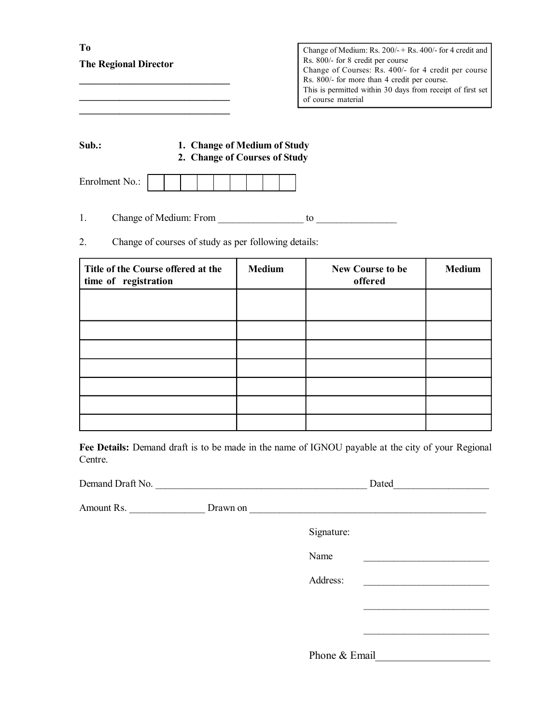| To<br><b>The Regional Director</b> | Change of Medium: Rs. $200/ +$ Rs. 400/- for 4 credit and<br>Rs. 800/- for 8 credit per course<br>Change of Courses: Rs. 400/- for 4 credit per course<br>Rs. 800/- for more than 4 credit per course.<br>This is permitted within 30 days from receipt of first set<br>of course material |
|------------------------------------|--------------------------------------------------------------------------------------------------------------------------------------------------------------------------------------------------------------------------------------------------------------------------------------------|
|                                    |                                                                                                                                                                                                                                                                                            |

| Sub.: | 1. Change of Medium of Study  |
|-------|-------------------------------|
|       | 2. Change of Courses of Study |

| Enrolment No.: |  |  |  |  |  |  |  |  |  |
|----------------|--|--|--|--|--|--|--|--|--|
|----------------|--|--|--|--|--|--|--|--|--|

- 1. Change of Medium: From \_\_\_\_\_\_\_\_\_\_\_\_\_\_\_\_\_ to \_\_\_\_\_\_\_\_\_\_\_\_\_\_\_\_
- 2. Change of courses of study as per following details:

| Title of the Course offered at the<br>time of registration | <b>Medium</b> | New Course to be<br>offered | <b>Medium</b> |
|------------------------------------------------------------|---------------|-----------------------------|---------------|
|                                                            |               |                             |               |
|                                                            |               |                             |               |
|                                                            |               |                             |               |
|                                                            |               |                             |               |
|                                                            |               |                             |               |
|                                                            |               |                             |               |
|                                                            |               |                             |               |

**Fee Details:** Demand draft is to be made in the name of IGNOU payable at the city of your Regional Centre.

| Demand Draft No. | <b>Dated</b> |  |
|------------------|--------------|--|
|                  |              |  |

| Amount Rs. | Drawn on |            |  |
|------------|----------|------------|--|
|            |          | Signature: |  |

| Name          |  |
|---------------|--|
| Address:      |  |
|               |  |
|               |  |
|               |  |
| Phone & Email |  |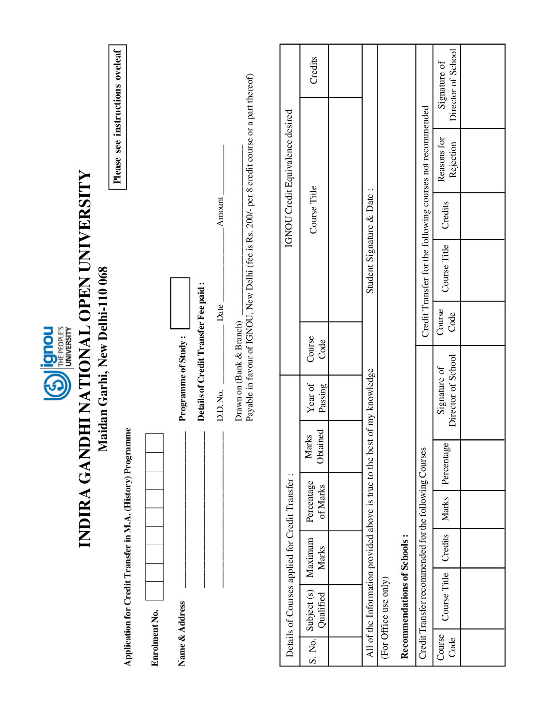| see instructions oveleaf                                    |               |                     |                                      |         |                                                                                                |                                                  | Credits                  |                                                                           |                       |                             |                                                           | Director of School<br>Signature of |  |
|-------------------------------------------------------------|---------------|---------------------|--------------------------------------|---------|------------------------------------------------------------------------------------------------|--------------------------------------------------|--------------------------|---------------------------------------------------------------------------|-----------------------|-----------------------------|-----------------------------------------------------------|------------------------------------|--|
|                                                             |               |                     |                                      |         |                                                                                                | IGNOU Credit Equivalence desired                 |                          |                                                                           |                       |                             |                                                           | Reasons for<br>Rejection           |  |
| Please                                                      |               |                     |                                      |         |                                                                                                |                                                  |                          |                                                                           |                       |                             |                                                           |                                    |  |
|                                                             |               |                     |                                      | Amount  |                                                                                                |                                                  | Course Title             |                                                                           |                       |                             |                                                           | Credits                            |  |
| INDIRA GANDHI NATIONAL OPEN UNIVERSITY                      |               |                     |                                      |         | Payable in favour of IGNOU, New Delhi (fee is Rs. 200/- per 8 credit course or a part thereof) |                                                  |                          | Student Signature & Date:                                                 |                       |                             | Credit Transfer for the following courses not recommended | Course Title                       |  |
| Maidan Garhi, New Delhi-110 068                             |               |                     | Details of Credit Transfer Fee paid: | Date    |                                                                                                |                                                  |                          |                                                                           |                       |                             |                                                           | Course<br>Code                     |  |
| <b>Example 1991 CD</b>                                      |               |                     |                                      |         |                                                                                                |                                                  | Course<br>Code           |                                                                           |                       |                             |                                                           |                                    |  |
|                                                             |               | Programme of Study: |                                      | D.D.No. | Drawn on (Bank & Branch)                                                                       |                                                  | $\rm Year$ of<br>Passing |                                                                           |                       |                             |                                                           | Director of School<br>Signature of |  |
|                                                             |               |                     |                                      |         |                                                                                                |                                                  | Obtained<br>Marks        |                                                                           |                       |                             |                                                           | Percentage                         |  |
|                                                             |               |                     |                                      |         |                                                                                                |                                                  | Percentage<br>of Marks   |                                                                           |                       |                             |                                                           | Marks                              |  |
|                                                             |               |                     |                                      |         |                                                                                                |                                                  | Maximum<br>Marks         |                                                                           |                       |                             |                                                           | Credits                            |  |
| Application for Credit Transfer in M.A. (History) Programme |               |                     |                                      |         |                                                                                                | Details of Courses applied for Credit Transfer : | Subject (s)<br>Qualified | All of the Information provided above is true to the best of my knowledge |                       | Recommendations of Schools: | Credit Transfer recommended for the following Courses     | Course Title                       |  |
|                                                             | Enrolment No. | Name & Address      |                                      |         |                                                                                                |                                                  | S. No.                   |                                                                           | (For Office use only) |                             |                                                           | Course<br>Code                     |  |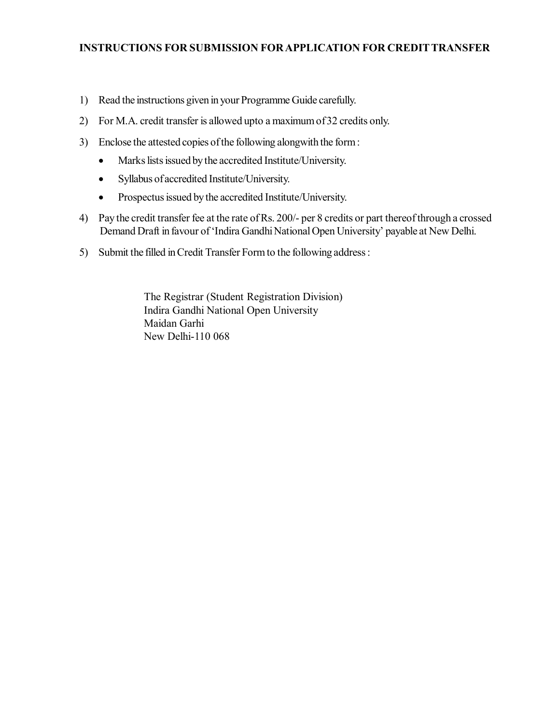- 1) Read the instructions given in your Programme Guide carefully.
- 2) For M.A. credit transfer is allowed upto a maximum of 32 credits only.
- 3) Enclose the attested copies of the following alongwith the form :
	- Marks lists issued by the accredited Institute/University.
	- Syllabus of accredited Institute/University.
	- Prospectus issued by the accredited Institute/University.
- 4) Pay the credit transfer fee at the rate of Rs. 200/- per 8 credits or part thereof through a crossed Demand Draft in favour of 'Indira Gandhi National Open University' payable at New Delhi.
- 5) Submit the filled in Credit Transfer Form to the following address :

The Registrar (Student Registration Division) Indira Gandhi National Open University Maidan Garhi New Delhi-110 068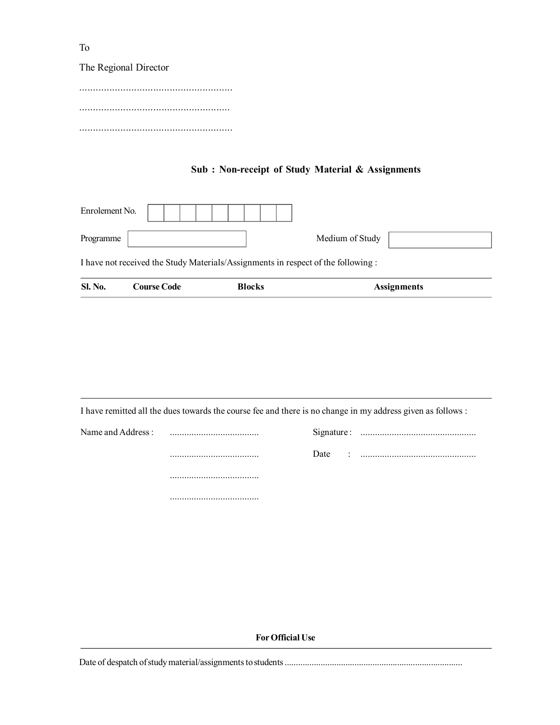The Regional Director

........................................................ ....................................................... ........................................................

#### **Sub : Non-receipt of Study Material & Assignments**

| <b>Sl. No.</b>                                                                   | <b>Course Code</b> | <b>Blocks</b> | <b>Assignments</b> |  |  |  |  |
|----------------------------------------------------------------------------------|--------------------|---------------|--------------------|--|--|--|--|
| I have not received the Study Materials/Assignments in respect of the following: |                    |               |                    |  |  |  |  |
| Programme                                                                        |                    |               | Medium of Study    |  |  |  |  |
| Enrolement No.                                                                   |                    |               |                    |  |  |  |  |

I have remitted all the dues towards the course fee and there is no change in my address given as follows :

|  | Date | $\sim$ |
|--|------|--------|
|  |      |        |
|  |      |        |

**For Official Use**

Date of despatch of study material/assignments to students ...............................................................................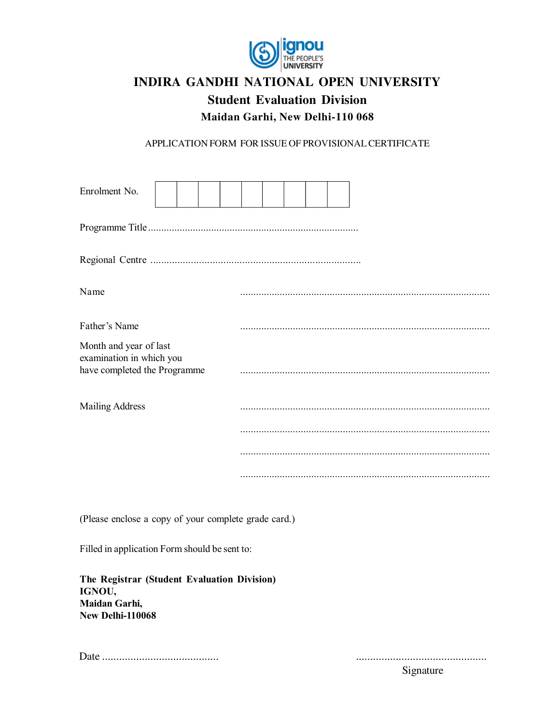

## **INDIRA GANDHI NATIONAL OPEN UNIVERSITY Student Evaluation Division**

**Maidan Garhi, New Delhi-110 068**

APPLICATION FORM FOR ISSUE OF PROVISIONAL CERTIFICATE

| Enrolment No.                                                                      |  |  |  |  |  |
|------------------------------------------------------------------------------------|--|--|--|--|--|
|                                                                                    |  |  |  |  |  |
|                                                                                    |  |  |  |  |  |
| Name                                                                               |  |  |  |  |  |
| Father's Name                                                                      |  |  |  |  |  |
| Month and year of last<br>examination in which you<br>have completed the Programme |  |  |  |  |  |
| <b>Mailing Address</b>                                                             |  |  |  |  |  |
|                                                                                    |  |  |  |  |  |
|                                                                                    |  |  |  |  |  |
|                                                                                    |  |  |  |  |  |

(Please enclose a copy of your complete grade card.)

Filled in application Form should be sent to:

**The Registrar (Student Evaluation Division) IGNOU, Maidan Garhi, New Delhi-110068**

Date ......................................... ..............................................

Signature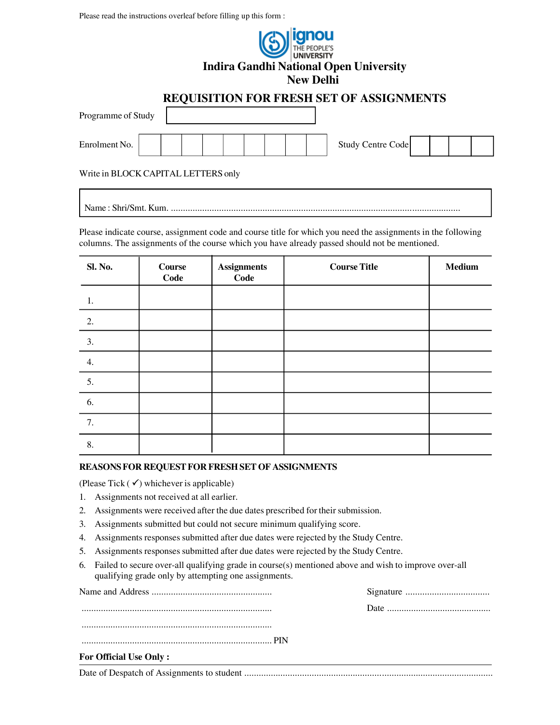Please read the instructions overleaf before filling up this form :

|                    |                                                 | anou<br>THE PEOPLE'S<br>UNIVERSITY<br><b>Indira Gandhi National Open University</b><br><b>New Delhi</b> |                          |  |
|--------------------|-------------------------------------------------|---------------------------------------------------------------------------------------------------------|--------------------------|--|
| Programme of Study | <b>REQUISITION FOR FRESH SET OF ASSIGNMENTS</b> |                                                                                                         |                          |  |
| Enrolment No.      |                                                 |                                                                                                         | <b>Study Centre Code</b> |  |
|                    | Write in BLOCK CAPITAL LETTERS only             |                                                                                                         |                          |  |

Please indicate course, assignment code and course title for which you need the assignments in the following columns. The assignments of the course which you have already passed should not be mentioned.

Name : Shri/Smt. Kum. ........................................................................................................................

| Sl. No. | <b>Course</b><br>Code | <b>Assignments</b><br>Code | <b>Course Title</b> | Medium |
|---------|-----------------------|----------------------------|---------------------|--------|
| 1.      |                       |                            |                     |        |
| 2.      |                       |                            |                     |        |
| 3.      |                       |                            |                     |        |
| 4.      |                       |                            |                     |        |
| 5.      |                       |                            |                     |        |
| 6.      |                       |                            |                     |        |
| 7.      |                       |                            |                     |        |
| 8.      |                       |                            |                     |        |

#### **REASONS FOR REQUEST FOR FRESH SET OF ASSIGNMENTS**

(Please Tick  $(\checkmark)$  whichever is applicable)

- 1. Assignments not received at all earlier.
- 2. Assignments were received after the due dates prescribed for their submission.
- 3. Assignments submitted but could not secure minimum qualifying score.
- 4. Assignments responses submitted after due dates were rejected by the Study Centre.
- 5. Assignments responses submitted after due dates were rejected by the Study Centre.
- 6. Failed to secure over-all qualifying grade in course(s) mentioned above and wish to improve over-all qualifying grade only by attempting one assignments.

| <b>For Official Use Only:</b>               |  |
|---------------------------------------------|--|
| Data of Decreated of Assignments to student |  |

Date of Despatch of Assignments to student .......................................................................................................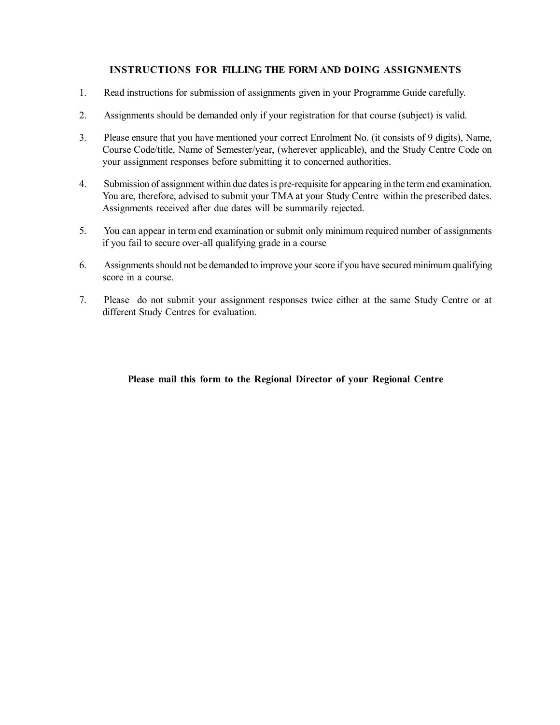#### **INSTRUCTIONS FOR FILLING THE FORM AND DOING ASSIGNMENTS**

- 1. Read instructions for submission of assignments given in your Programme Guide carefully.
- 2. Assignments should be demanded only if your registration for that course (subject) is valid.
- 3. Please ensure that you have mentioned your correct Enrolment No. (it consists of 9 digits), Name, Course Code/title, Name of Semester/year, (wherever applicable), and the Study Centre Code on your assignment responses before submitting it to concerned authorities.
- 4. Submission of assignment within due dates is pre-requisite for appearing in the term end examination. You are, therefore, advised to submit your TMA at your Study Centre within the prescribed dates. Assignments received after due dates will be summarily rejected.
- 5. You can appear in term end examination or submit only minimum required number of assignments if you fail to secure over-all qualifying grade in a course
- 6. Assignments should not be demanded to improve your score if you have secured minimum qualifying score in a course.
- 7. Please do not submit your assignment responses twice either at the same Study Centre or at different Study Centres for evaluation.

#### **Please mail this form to the Regional Director of your Regional Centre**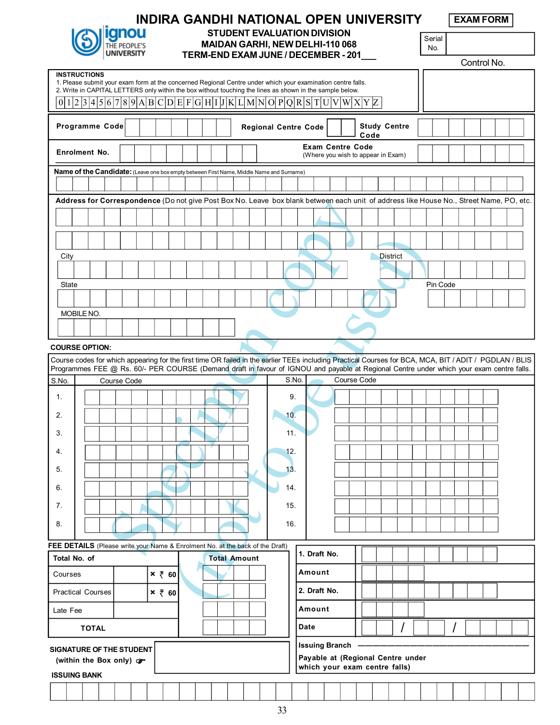

#### **INDIRA GANDHI NATIONAL OPEN UNIVERSITY STUDENT EVALUATION DIVISION MAIDAN GARHI, NEW DELHI-110 068 TERM-END EXAM JUNE / DECEMBER - 201\_\_\_**

**EXAM FORM**

Serial No.

|                                                                               |                                                                                                                                                                                                                                                |             |  |               |  |  |                     |                             |            |                         |  |                                                                    |                     |  |          |  | Control No. |  |  |
|-------------------------------------------------------------------------------|------------------------------------------------------------------------------------------------------------------------------------------------------------------------------------------------------------------------------------------------|-------------|--|---------------|--|--|---------------------|-----------------------------|------------|-------------------------|--|--------------------------------------------------------------------|---------------------|--|----------|--|-------------|--|--|
|                                                                               | <b>INSTRUCTIONS</b><br>1. Please submit your exam form at the concerned Regional Centre under which your examination centre falls.<br>2. Write in CAPITAL LETTERS only within the box without touching the lines as shown in the sample below. |             |  |               |  |  |                     |                             |            |                         |  |                                                                    |                     |  |          |  |             |  |  |
|                                                                               | $0 1 2 3 4 5 6 7 8 9 A B C D E F G H I J K L M N O P Q R S T U V W X Y Z$                                                                                                                                                                      |             |  |               |  |  |                     |                             |            |                         |  |                                                                    |                     |  |          |  |             |  |  |
|                                                                               | Programme Code                                                                                                                                                                                                                                 |             |  |               |  |  |                     | <b>Regional Centre Code</b> |            |                         |  | Code                                                               | <b>Study Centre</b> |  |          |  |             |  |  |
|                                                                               | <b>Enrolment No.</b>                                                                                                                                                                                                                           |             |  |               |  |  |                     |                             |            |                         |  | <b>Exam Centre Code</b><br>(Where you wish to appear in Exam)      |                     |  |          |  |             |  |  |
|                                                                               | Name of the Candidate: (Leave one box empty between First Name, Middle Name and Surname)                                                                                                                                                       |             |  |               |  |  |                     |                             |            |                         |  |                                                                    |                     |  |          |  |             |  |  |
|                                                                               |                                                                                                                                                                                                                                                |             |  |               |  |  |                     |                             |            |                         |  |                                                                    |                     |  |          |  |             |  |  |
|                                                                               | Address for Correspondence (Do not give Post Box No. Leave box blank between each unit of address like House No., Street Name, PO, etc.                                                                                                        |             |  |               |  |  |                     |                             |            |                         |  |                                                                    |                     |  |          |  |             |  |  |
|                                                                               |                                                                                                                                                                                                                                                |             |  |               |  |  |                     |                             |            |                         |  |                                                                    |                     |  |          |  |             |  |  |
|                                                                               |                                                                                                                                                                                                                                                |             |  |               |  |  |                     |                             |            |                         |  |                                                                    |                     |  |          |  |             |  |  |
| City                                                                          |                                                                                                                                                                                                                                                |             |  |               |  |  |                     |                             |            |                         |  |                                                                    | <b>District</b>     |  |          |  |             |  |  |
|                                                                               |                                                                                                                                                                                                                                                |             |  |               |  |  |                     |                             |            |                         |  |                                                                    |                     |  |          |  |             |  |  |
| <b>State</b>                                                                  |                                                                                                                                                                                                                                                |             |  |               |  |  |                     |                             |            |                         |  |                                                                    |                     |  | Pin Code |  |             |  |  |
|                                                                               |                                                                                                                                                                                                                                                |             |  |               |  |  |                     |                             |            |                         |  |                                                                    |                     |  |          |  |             |  |  |
|                                                                               | MOBILE NO.                                                                                                                                                                                                                                     |             |  |               |  |  |                     |                             |            |                         |  |                                                                    |                     |  |          |  |             |  |  |
|                                                                               |                                                                                                                                                                                                                                                |             |  |               |  |  |                     |                             |            |                         |  |                                                                    |                     |  |          |  |             |  |  |
| <b>COURSE OPTION:</b>                                                         |                                                                                                                                                                                                                                                |             |  |               |  |  |                     |                             |            |                         |  |                                                                    |                     |  |          |  |             |  |  |
|                                                                               | Course codes for which appearing for the first time OR failed in the earlier TEEs including Practical Courses for BCA, MCA, BIT / ADIT / PGDLAN / BLIS                                                                                         |             |  |               |  |  |                     |                             |            |                         |  |                                                                    |                     |  |          |  |             |  |  |
| S.No.                                                                         | Programmes FEE @ Rs. 60/- PER COURSE (Demand draft in favour of IGNOU and payable at Regional Centre under which your exam centre falls.                                                                                                       | Course Code |  |               |  |  |                     |                             | S.No.      |                         |  | Course Code                                                        |                     |  |          |  |             |  |  |
|                                                                               |                                                                                                                                                                                                                                                |             |  |               |  |  |                     |                             |            |                         |  |                                                                    |                     |  |          |  |             |  |  |
| 1.<br>2.                                                                      |                                                                                                                                                                                                                                                |             |  |               |  |  |                     |                             | 9.<br>10.  |                         |  |                                                                    |                     |  |          |  |             |  |  |
| 3.                                                                            |                                                                                                                                                                                                                                                |             |  |               |  |  |                     |                             | 11.        |                         |  |                                                                    |                     |  |          |  |             |  |  |
|                                                                               |                                                                                                                                                                                                                                                |             |  |               |  |  |                     |                             |            |                         |  |                                                                    |                     |  |          |  |             |  |  |
| 4.<br>5.                                                                      |                                                                                                                                                                                                                                                |             |  |               |  |  |                     |                             | 12.<br>13. |                         |  |                                                                    |                     |  |          |  |             |  |  |
| 6.                                                                            |                                                                                                                                                                                                                                                |             |  |               |  |  |                     |                             | 14.        |                         |  |                                                                    |                     |  |          |  |             |  |  |
|                                                                               |                                                                                                                                                                                                                                                |             |  |               |  |  |                     |                             |            |                         |  |                                                                    |                     |  |          |  |             |  |  |
| 7.                                                                            |                                                                                                                                                                                                                                                |             |  |               |  |  |                     |                             | 15.        |                         |  |                                                                    |                     |  |          |  |             |  |  |
| 8.                                                                            |                                                                                                                                                                                                                                                |             |  |               |  |  |                     |                             | 16.        |                         |  |                                                                    |                     |  |          |  |             |  |  |
| FEE DETAILS (Please write your Name & Enrolment No. at the back of the Draft) |                                                                                                                                                                                                                                                |             |  |               |  |  |                     |                             |            | 1. Draft No.            |  |                                                                    |                     |  |          |  |             |  |  |
| Total No. of                                                                  |                                                                                                                                                                                                                                                |             |  |               |  |  | <b>Total Amount</b> |                             |            |                         |  |                                                                    |                     |  |          |  |             |  |  |
| Courses                                                                       |                                                                                                                                                                                                                                                |             |  | $x \notin 60$ |  |  |                     |                             |            | Amount                  |  |                                                                    |                     |  |          |  |             |  |  |
|                                                                               | <b>Practical Courses</b>                                                                                                                                                                                                                       |             |  | $x \notin 60$ |  |  |                     |                             |            | 2. Draft No.            |  |                                                                    |                     |  |          |  |             |  |  |
| Late Fee                                                                      |                                                                                                                                                                                                                                                |             |  |               |  |  |                     |                             |            | Amount                  |  |                                                                    |                     |  |          |  |             |  |  |
|                                                                               | <b>TOTAL</b>                                                                                                                                                                                                                                   |             |  |               |  |  |                     |                             |            | Date                    |  |                                                                    |                     |  |          |  |             |  |  |
| SIGNATURE OF THE STUDENT                                                      |                                                                                                                                                                                                                                                |             |  |               |  |  |                     |                             |            | <b>Issuing Branch -</b> |  |                                                                    |                     |  |          |  |             |  |  |
|                                                                               | (within the Box only)                                                                                                                                                                                                                          |             |  |               |  |  |                     |                             |            |                         |  | Payable at (Regional Centre under<br>which your exam centre falls) |                     |  |          |  |             |  |  |
|                                                                               | <b>ISSUING BANK</b>                                                                                                                                                                                                                            |             |  |               |  |  |                     |                             |            |                         |  |                                                                    |                     |  |          |  |             |  |  |
|                                                                               |                                                                                                                                                                                                                                                |             |  |               |  |  |                     |                             |            |                         |  |                                                                    |                     |  |          |  |             |  |  |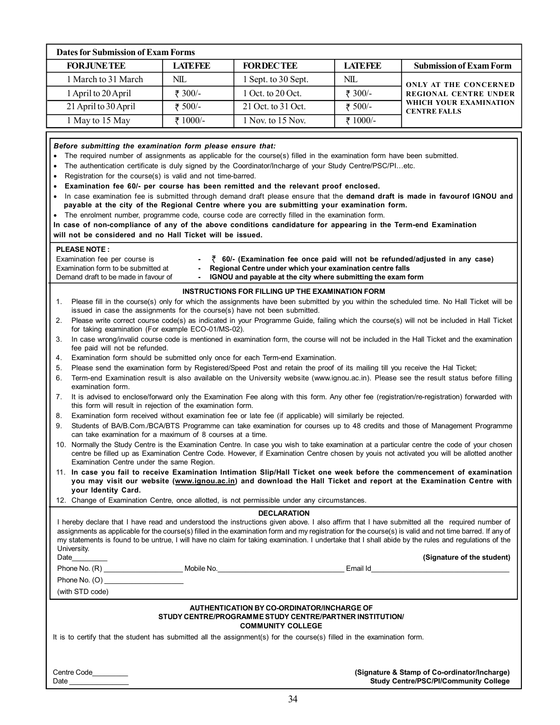| <b>Dates for Submission of Exam Forms</b>                                                                                                                                                                                                                                                                                                                                                                                                                                                                                                                                                                                                                                                                                                                                                                                                                                                                                                                                                                                                                                                                                                                                                                                                                                                                                                                                                                                                                                                                                                                                                          |                |                                                                                                                                                                                                                                                                                                                                                                                                                                                                                                                                     |                |                                                                                                                                                                                                                                                                                                                                                                                                                                                                                                                                                                                                                                                                                                                                                                                                                                                                                                                                                                                                                                                                                                                                                                                                                                                                                                                                                                                                                                                                                                                                                                                                                                                                                                                                                                                                                                                                                                                                                                                                                                                                                                                              |
|----------------------------------------------------------------------------------------------------------------------------------------------------------------------------------------------------------------------------------------------------------------------------------------------------------------------------------------------------------------------------------------------------------------------------------------------------------------------------------------------------------------------------------------------------------------------------------------------------------------------------------------------------------------------------------------------------------------------------------------------------------------------------------------------------------------------------------------------------------------------------------------------------------------------------------------------------------------------------------------------------------------------------------------------------------------------------------------------------------------------------------------------------------------------------------------------------------------------------------------------------------------------------------------------------------------------------------------------------------------------------------------------------------------------------------------------------------------------------------------------------------------------------------------------------------------------------------------------------|----------------|-------------------------------------------------------------------------------------------------------------------------------------------------------------------------------------------------------------------------------------------------------------------------------------------------------------------------------------------------------------------------------------------------------------------------------------------------------------------------------------------------------------------------------------|----------------|------------------------------------------------------------------------------------------------------------------------------------------------------------------------------------------------------------------------------------------------------------------------------------------------------------------------------------------------------------------------------------------------------------------------------------------------------------------------------------------------------------------------------------------------------------------------------------------------------------------------------------------------------------------------------------------------------------------------------------------------------------------------------------------------------------------------------------------------------------------------------------------------------------------------------------------------------------------------------------------------------------------------------------------------------------------------------------------------------------------------------------------------------------------------------------------------------------------------------------------------------------------------------------------------------------------------------------------------------------------------------------------------------------------------------------------------------------------------------------------------------------------------------------------------------------------------------------------------------------------------------------------------------------------------------------------------------------------------------------------------------------------------------------------------------------------------------------------------------------------------------------------------------------------------------------------------------------------------------------------------------------------------------------------------------------------------------------------------------------------------------|
| <b>FORJUNETEE</b>                                                                                                                                                                                                                                                                                                                                                                                                                                                                                                                                                                                                                                                                                                                                                                                                                                                                                                                                                                                                                                                                                                                                                                                                                                                                                                                                                                                                                                                                                                                                                                                  | <b>LATEFEE</b> | <b>FORDECTEE</b>                                                                                                                                                                                                                                                                                                                                                                                                                                                                                                                    | <b>LATEFEE</b> | <b>Submission of Exam Form</b>                                                                                                                                                                                                                                                                                                                                                                                                                                                                                                                                                                                                                                                                                                                                                                                                                                                                                                                                                                                                                                                                                                                                                                                                                                                                                                                                                                                                                                                                                                                                                                                                                                                                                                                                                                                                                                                                                                                                                                                                                                                                                               |
| 1 March to 31 March                                                                                                                                                                                                                                                                                                                                                                                                                                                                                                                                                                                                                                                                                                                                                                                                                                                                                                                                                                                                                                                                                                                                                                                                                                                                                                                                                                                                                                                                                                                                                                                | NIL            | 1 Sept. to 30 Sept.                                                                                                                                                                                                                                                                                                                                                                                                                                                                                                                 | NIL            | <b>ONLY AT THE CONCERNED</b>                                                                                                                                                                                                                                                                                                                                                                                                                                                                                                                                                                                                                                                                                                                                                                                                                                                                                                                                                                                                                                                                                                                                                                                                                                                                                                                                                                                                                                                                                                                                                                                                                                                                                                                                                                                                                                                                                                                                                                                                                                                                                                 |
| 1 April to 20 April                                                                                                                                                                                                                                                                                                                                                                                                                                                                                                                                                                                                                                                                                                                                                                                                                                                                                                                                                                                                                                                                                                                                                                                                                                                                                                                                                                                                                                                                                                                                                                                | ₹ 300/-        | 1 Oct. to 20 Oct.                                                                                                                                                                                                                                                                                                                                                                                                                                                                                                                   | ₹ 300/-        | REGIONAL CENTRE UNDER                                                                                                                                                                                                                                                                                                                                                                                                                                                                                                                                                                                                                                                                                                                                                                                                                                                                                                                                                                                                                                                                                                                                                                                                                                                                                                                                                                                                                                                                                                                                                                                                                                                                                                                                                                                                                                                                                                                                                                                                                                                                                                        |
| 21 April to 30 April                                                                                                                                                                                                                                                                                                                                                                                                                                                                                                                                                                                                                                                                                                                                                                                                                                                                                                                                                                                                                                                                                                                                                                                                                                                                                                                                                                                                                                                                                                                                                                               | ₹ 500/-        | 21 Oct. to 31 Oct.                                                                                                                                                                                                                                                                                                                                                                                                                                                                                                                  | ₹ 500/-        | WHICH YOUR EXAMINATION                                                                                                                                                                                                                                                                                                                                                                                                                                                                                                                                                                                                                                                                                                                                                                                                                                                                                                                                                                                                                                                                                                                                                                                                                                                                                                                                                                                                                                                                                                                                                                                                                                                                                                                                                                                                                                                                                                                                                                                                                                                                                                       |
| 1 May to 15 May                                                                                                                                                                                                                                                                                                                                                                                                                                                                                                                                                                                                                                                                                                                                                                                                                                                                                                                                                                                                                                                                                                                                                                                                                                                                                                                                                                                                                                                                                                                                                                                    | ₹ 1000/-       | 1 Nov. to 15 Nov.                                                                                                                                                                                                                                                                                                                                                                                                                                                                                                                   | ₹ 1000/-       |                                                                                                                                                                                                                                                                                                                                                                                                                                                                                                                                                                                                                                                                                                                                                                                                                                                                                                                                                                                                                                                                                                                                                                                                                                                                                                                                                                                                                                                                                                                                                                                                                                                                                                                                                                                                                                                                                                                                                                                                                                                                                                                              |
| Before submitting the examination form please ensure that:<br>The required number of assignments as applicable for the course(s) filled in the examination form have been submitted.<br>$\bullet$<br>The authentication certificate is duly signed by the Coordinator/Incharge of your Study Centre/PSC/PIetc.<br>$\bullet$<br>Registration for the course(s) is valid and not time-barred.<br>$\bullet$<br>Examination fee 60/- per course has been remitted and the relevant proof enclosed.<br>$\bullet$<br>payable at the city of the Regional Centre where you are submitting your examination form.<br>The enrolment number, programme code, course code are correctly filled in the examination form.<br>In case of non-compliance of any of the above conditions candidature for appearing in the Term-end Examination<br>will not be considered and no Hall Ticket will be issued.<br><b>PLEASE NOTE:</b><br>Examination fee per course is<br>Examination form to be submitted at<br>Demand draft to be made in favour of<br>1.<br>issued in case the assignments for the course(s) have not been submitted.<br>2.<br>for taking examination (For example ECO-01/MS-02).<br>3.<br>fee paid will not be refunded.<br>4.<br>5.<br>6.<br>examination form.<br>7.<br>this form will result in rejection of the examination form.<br>8.<br>9.<br>can take examination for a maximum of 8 courses at a time.<br>Examination Centre under the same Region.<br>your Identity Card.<br>12. Change of Examination Centre, once allotted, is not permissible under any circumstances.<br>University. | $\blacksquare$ | Regional Centre under which your examination centre falls<br>IGNOU and payable at the city where submitting the exam form<br>INSTRUCTIONS FOR FILLING UP THE EXAMINATION FORM<br>Examination form should be submitted only once for each Term-end Examination.<br>Please send the examination form by Registered/Speed Post and retain the proof of its mailing till you receive the Hal Ticket;<br>Examination form received without examination fee or late fee (if applicable) will similarly be rejected.<br><b>DECLARATION</b> |                | <b>CENTRE FALLS</b><br>In case examination fee is submitted through demand draft please ensure that the demand draft is made in favourof IGNOU and<br>$\bar{z}$ 60/- (Examination fee once paid will not be refunded/adjusted in any case)<br>Please fill in the course(s) only for which the assignments have been submitted by you within the scheduled time. No Hall Ticket will be<br>Please write correct course code(s) as indicated in your Programme Guide, failing which the course(s) will not be included in Hall Ticket<br>In case wrong/invalid course code is mentioned in examination form, the course will not be included in the Hall Ticket and the examination<br>Term-end Examination result is also available on the University website (www.ignou.ac.in). Please see the result status before filling<br>It is advised to enclose/forward only the Examination Fee along with this form. Any other fee (registration/re-registration) forwarded with<br>Students of BA/B.Com./BCA/BTS Programme can take examination for courses up to 48 credits and those of Management Programme<br>10. Normally the Study Centre is the Examination Centre. In case you wish to take examination at a particular centre the code of your chosen<br>centre be filled up as Examination Centre Code. However, if Examination Centre chosen by youis not activated you will be allotted another<br>11. In case you fail to receive Examination Intimation Slip/Hall Ticket one week before the commencement of examination<br>you may visit our website (www.ignou.ac.in) and download the Hall Ticket and report at the Examination Centre with<br>I hereby declare that I have read and understood the instructions given above. I also affirm that I have submitted all the required number of<br>assignments as applicable for the course(s) filled in the examination form and my registration for the course(s) is valid and not time barred. If any of<br>my statements is found to be untrue, I will have no claim for taking examination. I undertake that I shall abide by the rules and regulations of the |
| Date                                                                                                                                                                                                                                                                                                                                                                                                                                                                                                                                                                                                                                                                                                                                                                                                                                                                                                                                                                                                                                                                                                                                                                                                                                                                                                                                                                                                                                                                                                                                                                                               |                |                                                                                                                                                                                                                                                                                                                                                                                                                                                                                                                                     |                | (Signature of the student)                                                                                                                                                                                                                                                                                                                                                                                                                                                                                                                                                                                                                                                                                                                                                                                                                                                                                                                                                                                                                                                                                                                                                                                                                                                                                                                                                                                                                                                                                                                                                                                                                                                                                                                                                                                                                                                                                                                                                                                                                                                                                                   |
|                                                                                                                                                                                                                                                                                                                                                                                                                                                                                                                                                                                                                                                                                                                                                                                                                                                                                                                                                                                                                                                                                                                                                                                                                                                                                                                                                                                                                                                                                                                                                                                                    |                |                                                                                                                                                                                                                                                                                                                                                                                                                                                                                                                                     |                |                                                                                                                                                                                                                                                                                                                                                                                                                                                                                                                                                                                                                                                                                                                                                                                                                                                                                                                                                                                                                                                                                                                                                                                                                                                                                                                                                                                                                                                                                                                                                                                                                                                                                                                                                                                                                                                                                                                                                                                                                                                                                                                              |
| (with STD code)                                                                                                                                                                                                                                                                                                                                                                                                                                                                                                                                                                                                                                                                                                                                                                                                                                                                                                                                                                                                                                                                                                                                                                                                                                                                                                                                                                                                                                                                                                                                                                                    |                | AUTHENTICATION BY CO-ORDINATOR/INCHARGE OF<br>STUDY CENTRE/PROGRAMME STUDY CENTRE/PARTNER INSTITUTION/<br><b>COMMUNITY COLLEGE</b>                                                                                                                                                                                                                                                                                                                                                                                                  |                |                                                                                                                                                                                                                                                                                                                                                                                                                                                                                                                                                                                                                                                                                                                                                                                                                                                                                                                                                                                                                                                                                                                                                                                                                                                                                                                                                                                                                                                                                                                                                                                                                                                                                                                                                                                                                                                                                                                                                                                                                                                                                                                              |
| It is to certify that the student has submitted all the assignment(s) for the course(s) filled in the examination form.                                                                                                                                                                                                                                                                                                                                                                                                                                                                                                                                                                                                                                                                                                                                                                                                                                                                                                                                                                                                                                                                                                                                                                                                                                                                                                                                                                                                                                                                            |                |                                                                                                                                                                                                                                                                                                                                                                                                                                                                                                                                     |                |                                                                                                                                                                                                                                                                                                                                                                                                                                                                                                                                                                                                                                                                                                                                                                                                                                                                                                                                                                                                                                                                                                                                                                                                                                                                                                                                                                                                                                                                                                                                                                                                                                                                                                                                                                                                                                                                                                                                                                                                                                                                                                                              |
| Centre Code<br>Date                                                                                                                                                                                                                                                                                                                                                                                                                                                                                                                                                                                                                                                                                                                                                                                                                                                                                                                                                                                                                                                                                                                                                                                                                                                                                                                                                                                                                                                                                                                                                                                |                |                                                                                                                                                                                                                                                                                                                                                                                                                                                                                                                                     |                | (Signature & Stamp of Co-ordinator/Incharge)<br><b>Study Centre/PSC/PI/Community College</b>                                                                                                                                                                                                                                                                                                                                                                                                                                                                                                                                                                                                                                                                                                                                                                                                                                                                                                                                                                                                                                                                                                                                                                                                                                                                                                                                                                                                                                                                                                                                                                                                                                                                                                                                                                                                                                                                                                                                                                                                                                 |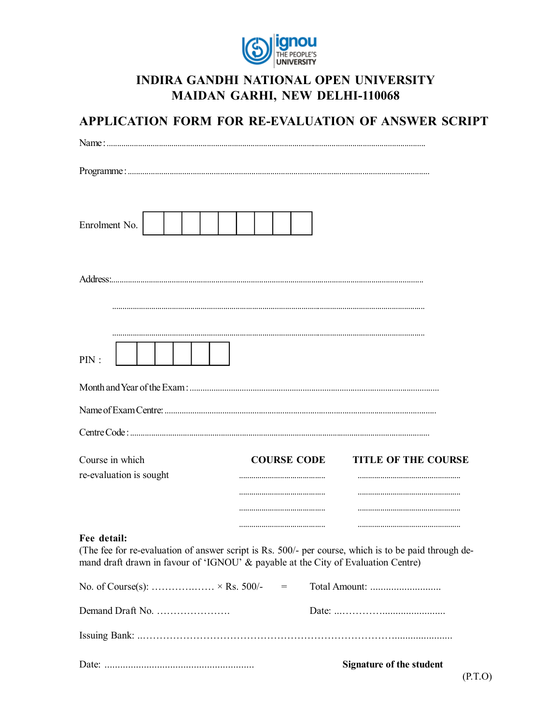

## **INDIRA GANDHI NATIONAL OPEN UNIVERSITY MAIDAN GARHI, NEW DELHI-110068**

| APPLICATION FORM FOR RE-EVALUATION OF ANSWER SCRIPT                                                                                                                                                      |                    |                            |
|----------------------------------------------------------------------------------------------------------------------------------------------------------------------------------------------------------|--------------------|----------------------------|
|                                                                                                                                                                                                          |                    |                            |
|                                                                                                                                                                                                          |                    |                            |
| Enrolment No.                                                                                                                                                                                            |                    |                            |
|                                                                                                                                                                                                          |                    |                            |
| PIN:                                                                                                                                                                                                     |                    |                            |
|                                                                                                                                                                                                          |                    |                            |
|                                                                                                                                                                                                          |                    |                            |
|                                                                                                                                                                                                          |                    |                            |
| Course in which<br>re-evaluation is sought                                                                                                                                                               | <b>COURSE CODE</b> | <b>TITLE OF THE COURSE</b> |
|                                                                                                                                                                                                          |                    |                            |
| Fee detail:<br>(The fee for re-evaluation of answer script is Rs. 500/- per course, which is to be paid through de-<br>mand draft drawn in favour of 'IGNOU' & payable at the City of Evaluation Centre) |                    |                            |
| No. of Course(s):  × Rs. 500/-                                                                                                                                                                           | $\!=$              |                            |
| Demand Draft No.                                                                                                                                                                                         |                    |                            |
|                                                                                                                                                                                                          |                    |                            |

Signature of the student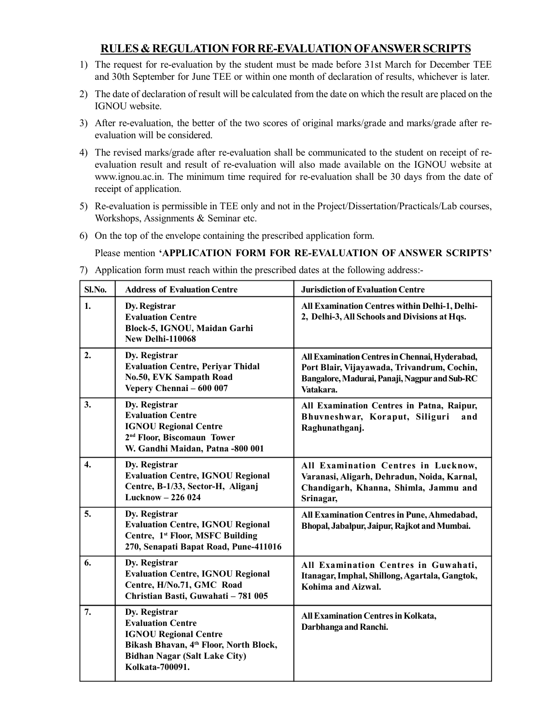### **RULES & REGULATION FOR RE-EVALUATION OF ANSWER SCRIPTS**

- 1) The request for re-evaluation by the student must be made before 31st March for December TEE and 30th September for June TEE or within one month of declaration of results, whichever is later.
- 2) The date of declaration of result will be calculated from the date on which the result are placed on the IGNOU website.
- 3) After re-evaluation, the better of the two scores of original marks/grade and marks/grade after reevaluation will be considered.
- 4) The revised marks/grade after re-evaluation shall be communicated to the student on receipt of reevaluation result and result of re-evaluation will also made available on the IGNOU website at www.ignou.ac.in. The minimum time required for re-evaluation shall be 30 days from the date of receipt of application.
- 5) Re-evaluation is permissible in TEE only and not in the Project/Dissertation/Practicals/Lab courses, Workshops, Assignments & Seminar etc.
- 6) On the top of the envelope containing the prescribed application form.

Please mention **'APPLICATION FORM FOR RE-EVALUATION OF ANSWER SCRIPTS'**

7) Application form must reach within the prescribed dates at the following address:-

| Sl.No.           | <b>Address of Evaluation Centre</b>                                                                                                                                            | <b>Jurisdiction of Evaluation Centre</b>                                                                                                                    |
|------------------|--------------------------------------------------------------------------------------------------------------------------------------------------------------------------------|-------------------------------------------------------------------------------------------------------------------------------------------------------------|
| 1.               | Dy. Registrar<br><b>Evaluation Centre</b><br>Block-5, IGNOU, Maidan Garhi<br><b>New Delhi-110068</b>                                                                           | All Examination Centres within Delhi-1, Delhi-<br>2, Delhi-3, All Schools and Divisions at Hqs.                                                             |
| 2.               | Dy. Registrar<br><b>Evaluation Centre, Periyar Thidal</b><br>No.50, EVK Sampath Road<br>Vepery Chennai - 600 007                                                               | All Examination Centres in Chennai, Hyderabad,<br>Port Blair, Vijayawada, Trivandrum, Cochin,<br>Bangalore, Madurai, Panaji, Nagpur and Sub-RC<br>Vatakara. |
| 3.               | Dy. Registrar<br><b>Evaluation Centre</b><br><b>IGNOU Regional Centre</b><br>2 <sup>nd</sup> Floor, Biscomaun Tower<br>W. Gandhi Maidan, Patna -800 001                        | All Examination Centres in Patna, Raipur,<br>Bhuvneshwar, Koraput, Siliguri<br>and<br>Raghunathganj.                                                        |
| $\overline{4}$ . | Dy. Registrar<br><b>Evaluation Centre, IGNOU Regional</b><br>Centre, B-1/33, Sector-H, Aliganj<br>Lucknow - 226 024                                                            | All Examination Centres in Lucknow,<br>Varanasi, Aligarh, Dehradun, Noida, Karnal,<br>Chandigarh, Khanna, Shimla, Jammu and<br>Srinagar,                    |
| 5.               | Dy. Registrar<br><b>Evaluation Centre, IGNOU Regional</b><br>Centre, 1st Floor, MSFC Building<br>270, Senapati Bapat Road, Pune-411016                                         | All Examination Centres in Pune, Ahmedabad,<br>Bhopal, Jabalpur, Jaipur, Rajkot and Mumbai.                                                                 |
| 6.               | Dy. Registrar<br><b>Evaluation Centre, IGNOU Regional</b><br>Centre, H/No.71, GMC Road<br>Christian Basti, Guwahati - 781 005                                                  | All Examination Centres in Guwahati,<br>Itanagar, Imphal, Shillong, Agartala, Gangtok,<br>Kohima and Aizwal.                                                |
| 7.               | Dy. Registrar<br><b>Evaluation Centre</b><br><b>IGNOU Regional Centre</b><br>Bikash Bhavan, 4th Floor, North Block,<br><b>Bidhan Nagar (Salt Lake City)</b><br>Kolkata-700091. | <b>All Examination Centres in Kolkata,</b><br>Darbhanga and Ranchi.                                                                                         |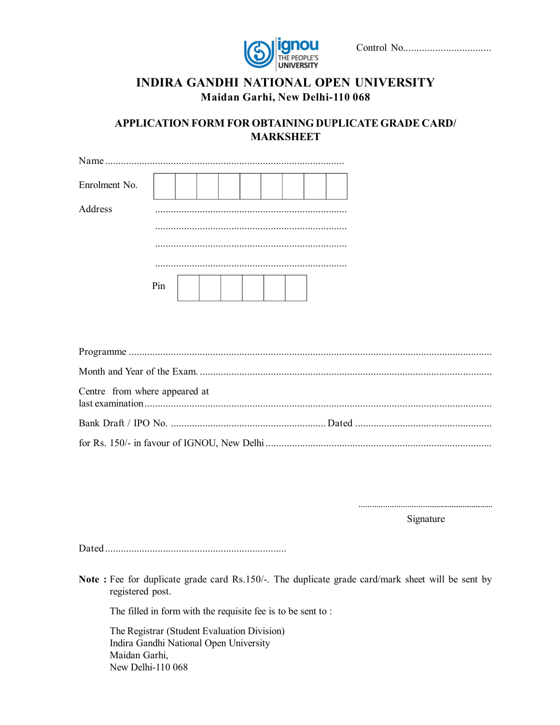

|--|--|--|

## **INDIRA GANDHI NATIONAL OPEN UNIVERSITY Maidan Garhi, New Delhi-110 068**

**APPLICATION FORM FOR OBTAINING DUPLICATE GRADE CARD/ MARKSHEET**

| Enrolment No. |     |  |  |  |  |
|---------------|-----|--|--|--|--|
| Address       |     |  |  |  |  |
|               |     |  |  |  |  |
|               |     |  |  |  |  |
|               | Pin |  |  |  |  |

| Centre from where appeared at |  |
|-------------------------------|--|
|                               |  |
|                               |  |

..................................................................

Signature

Dated .....................................................................

**Note :** Fee for duplicate grade card Rs.150/-. The duplicate grade card/mark sheet will be sent by registered post.

The filled in form with the requisite fee is to be sent to :

The Registrar (Student Evaluation Division) Indira Gandhi National Open University Maidan Garhi, New Delhi-110 068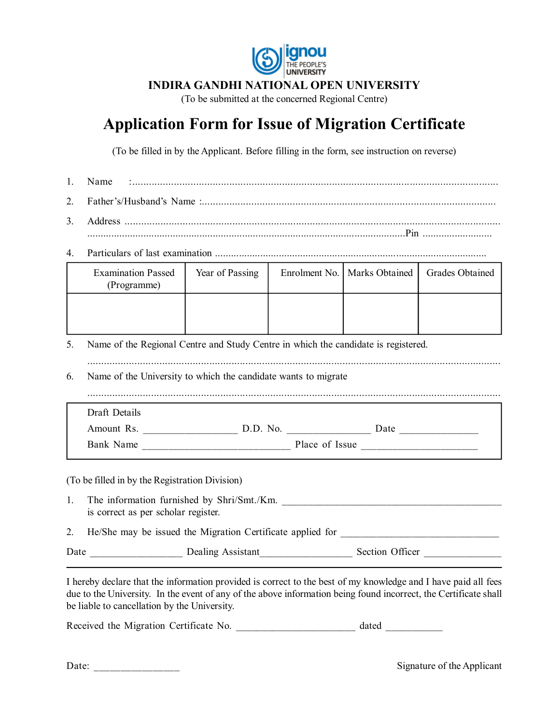

#### **INDIRA GANDHI NATIONAL OPEN UNIVERSITY**

(To be submitted at the concerned Regional Centre)

## **Application Form for Issue of Migration Certificate**

(To be filled in by the Applicant. Before filling in the form, see instruction on reverse)

- 1. Name :....................................................................................................................................
- 2. Father's/Husband's Name :...........................................................................................................
- 3. Address ........................................................................................................................................ .......................................................................................................................Pin ..........................
- 4. Particulars of last examination ......................................................................................................

|    | <b>Examination Passed</b><br>(Programme)                                           | Year of Passing |  | Enrolment No.   Marks Obtained | Grades Obtained |  |  |  |  |  |
|----|------------------------------------------------------------------------------------|-----------------|--|--------------------------------|-----------------|--|--|--|--|--|
|    |                                                                                    |                 |  |                                |                 |  |  |  |  |  |
| 5. | Name of the Regional Centre and Study Centre in which the candidate is registered. |                 |  |                                |                 |  |  |  |  |  |
| 6. | Name of the University to which the candidate wants to migrate                     |                 |  |                                |                 |  |  |  |  |  |
|    | Draft Details                                                                      |                 |  |                                |                 |  |  |  |  |  |
|    |                                                                                    |                 |  |                                |                 |  |  |  |  |  |
|    |                                                                                    |                 |  |                                |                 |  |  |  |  |  |
|    | (To be filled in by the Registration Division)                                     |                 |  |                                |                 |  |  |  |  |  |
| 1. | The information furnished by Shri/Smt./Km.<br>is correct as per scholar register.  |                 |  |                                |                 |  |  |  |  |  |
| 2. | He/She may be issued the Migration Certificate applied for                         |                 |  |                                |                 |  |  |  |  |  |

Date Dealing Assistant Section Officer

I hereby declare that the information provided is correct to the best of my knowledge and I have paid all fees due to the University. In the event of any of the above information being found incorrect, the Certificate shall be liable to cancellation by the University.

Received the Migration Certificate No.  $\qquad \qquad$  dated  $\qquad \qquad$ 

| Date: |  |
|-------|--|
|       |  |

Signature of the Applicant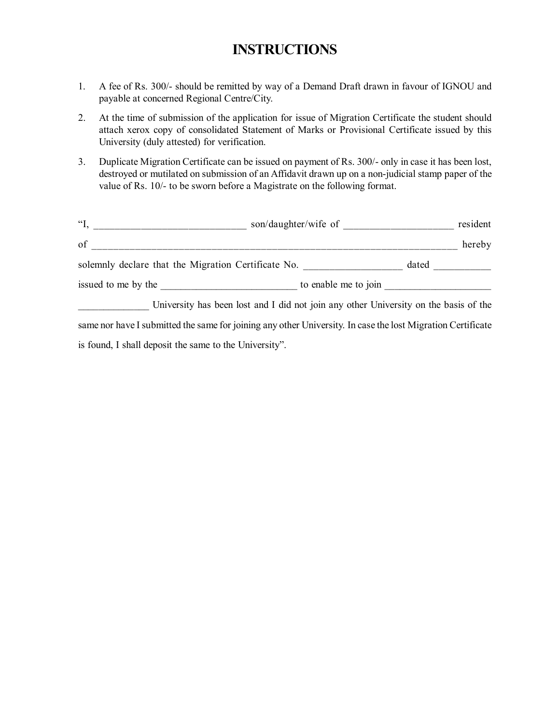## **INSTRUCTIONS**

- 1. A fee of Rs. 300/- should be remitted by way of a Demand Draft drawn in favour of IGNOU and payable at concerned Regional Centre/City.
- 2. At the time of submission of the application for issue of Migration Certificate the student should attach xerox copy of consolidated Statement of Marks or Provisional Certificate issued by this University (duly attested) for verification.
- 3. Duplicate Migration Certificate can be issued on payment of Rs. 300/- only in case it has been lost, destroyed or mutilated on submission of an Affidavit drawn up on a non-judicial stamp paper of the value of Rs. 10/- to be sworn before a Magistrate on the following format.

| $\mathfrak{C}$ .                                    | son/daughter/wife of                                                                 | resident |
|-----------------------------------------------------|--------------------------------------------------------------------------------------|----------|
| of                                                  |                                                                                      | hereby   |
| solemnly declare that the Migration Certificate No. |                                                                                      | dated    |
|                                                     | to enable me to join                                                                 |          |
|                                                     | University has been lost and I did not join any other University on the basis of the |          |

same nor have I submitted the same for joining any other University. In case the lost Migration Certificate is found, I shall deposit the same to the University".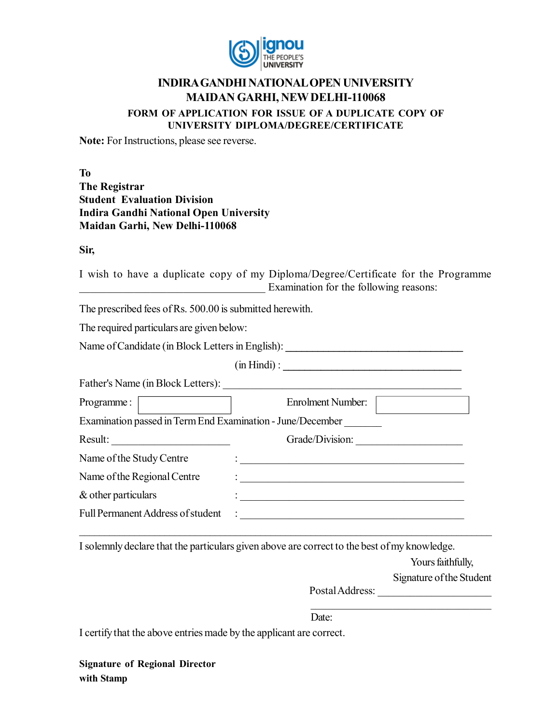

#### **INDIRA GANDHI NATIONAL OPEN UNIVERSITY MAIDAN GARHI, NEW DELHI-110068 FORM OF APPLICATION FOR ISSUE OF A DUPLICATE COPY OF UNIVERSITY DIPLOMA/DEGREE/CERTIFICATE**

**Note:** For Instructions, please see reverse.

**To The Registrar Student Evaluation Division Indira Gandhi National Open University Maidan Garhi, New Delhi-110068**

**Sir,**

I wish to have a duplicate copy of my Diploma/Degree/Certificate for the Programme Examination for the following reasons:

The prescribed fees of Rs. 500.00 is submitted herewith.

The required particulars are given below:

Name of Candidate (in Block Letters in English):

(in Hindi) : **\_\_\_\_\_\_\_\_\_\_\_\_\_\_\_\_\_\_\_\_\_\_\_\_\_\_\_\_\_\_\_\_\_**

Father's Name (in Block Letters): \_\_\_\_\_\_\_\_\_\_\_\_\_\_\_\_\_\_\_\_\_\_\_\_\_\_\_\_\_\_\_\_\_\_\_\_\_\_\_\_\_\_\_\_

| Programme:                                                 | Enrolment Number: |
|------------------------------------------------------------|-------------------|
| Examination passed in Term End Examination - June/December |                   |
| Result:                                                    | Grade/Division:   |
| Name of the Study Centre                                   |                   |
| Name of the Regional Centre                                |                   |
| & other particulars                                        |                   |
| Full Permanent Address of student                          |                   |

I solemnly declare that the particulars given above are correct to the best of my knowledge.

\_\_\_\_\_\_\_\_\_\_\_\_\_\_\_\_\_\_\_\_\_\_\_\_\_\_\_\_\_\_\_\_\_\_\_\_\_\_\_\_\_\_\_\_\_\_\_\_\_\_\_\_\_\_\_\_\_\_\_\_\_\_\_\_\_\_\_\_\_\_\_\_\_\_\_\_\_\_\_\_\_\_

Yours faithfully,

Signature of the Student

Postal Address: \_\_\_\_\_\_\_\_\_\_\_\_\_\_\_\_\_\_\_\_\_  $\mathcal{L}_\mathcal{L}$  , where  $\mathcal{L}_\mathcal{L}$  , we have the set of the set of the set of the set of the set of the set of the set of the set of the set of the set of the set of the set of the set of the set of the set of the set

Date:

I certify that the above entries made by the applicant are correct.

**Signature of Regional Director with Stamp**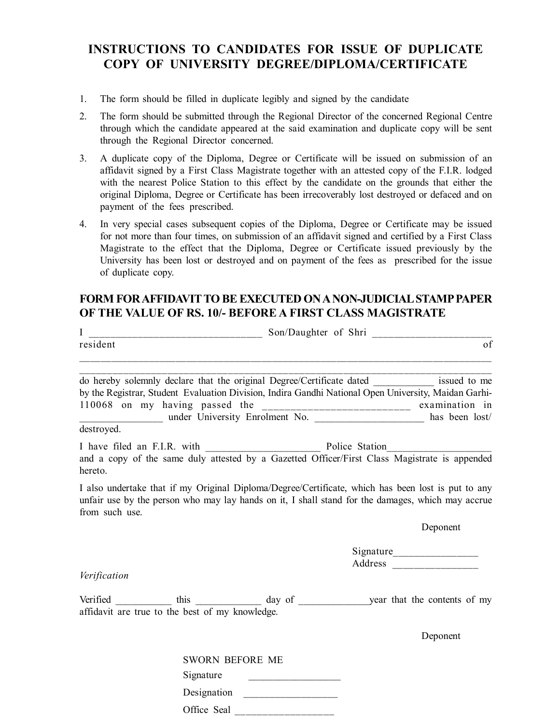## **INSTRUCTIONS TO CANDIDATES FOR ISSUE OF DUPLICATE COPY OF UNIVERSITY DEGREE/DIPLOMA/CERTIFICATE**

- 1. The form should be filled in duplicate legibly and signed by the candidate
- 2. The form should be submitted through the Regional Director of the concerned Regional Centre through which the candidate appeared at the said examination and duplicate copy will be sent through the Regional Director concerned.
- 3. A duplicate copy of the Diploma, Degree or Certificate will be issued on submission of an affidavit signed by a First Class Magistrate together with an attested copy of the F.I.R. lodged with the nearest Police Station to this effect by the candidate on the grounds that either the original Diploma, Degree or Certificate has been irrecoverably lost destroyed or defaced and on payment of the fees prescribed.
- 4. In very special cases subsequent copies of the Diploma, Degree or Certificate may be issued for not more than four times, on submission of an affidavit signed and certified by a First Class Magistrate to the effect that the Diploma, Degree or Certificate issued previously by the University has been lost or destroyed and on payment of the fees as prescribed for the issue of duplicate copy.

### **FORM FOR AFFIDAVIT TO BE EXECUTED ON A NON-JUDICIAL STAMP PAPER OF THE VALUE OF RS. 10/- BEFORE A FIRST CLASS MAGISTRATE**

| I              |                                                 | _____________________________ Son/Daughter of Shri _____________________________                                                                                                                        |    |
|----------------|-------------------------------------------------|---------------------------------------------------------------------------------------------------------------------------------------------------------------------------------------------------------|----|
| resident       |                                                 |                                                                                                                                                                                                         | of |
|                |                                                 | do hereby solemnly declare that the original Degree/Certificate dated ___________ issued to me                                                                                                          |    |
|                |                                                 | by the Registrar, Student Evaluation Division, Indira Gandhi National Open University, Maidan Garhi-                                                                                                    |    |
|                |                                                 | 110068 on my having passed the ________________________ examination in                                                                                                                                  |    |
|                |                                                 | under University Enrolment No. ____________________ has been lost/                                                                                                                                      |    |
| destroyed.     |                                                 |                                                                                                                                                                                                         |    |
|                |                                                 |                                                                                                                                                                                                         |    |
| hereto.        |                                                 | and a copy of the same duly attested by a Gazetted Officer/First Class Magistrate is appended                                                                                                           |    |
| from such use. |                                                 | I also undertake that if my Original Diploma/Degree/Certificate, which has been lost is put to any<br>unfair use by the person who may lay hands on it, I shall stand for the damages, which may accrue |    |
|                |                                                 | Deponent                                                                                                                                                                                                |    |
|                |                                                 |                                                                                                                                                                                                         |    |
|                |                                                 | Address _________________                                                                                                                                                                               |    |
| Verification   |                                                 |                                                                                                                                                                                                         |    |
|                | affidavit are true to the best of my knowledge. | Verified ______________ this ______________ day of ______________ year that the contents of my                                                                                                          |    |
|                |                                                 | Deponent                                                                                                                                                                                                |    |
|                | <b>SWORN BEFORE ME</b>                          |                                                                                                                                                                                                         |    |
|                | Signature                                       |                                                                                                                                                                                                         |    |
|                | Designation                                     |                                                                                                                                                                                                         |    |
|                | Office Seal                                     |                                                                                                                                                                                                         |    |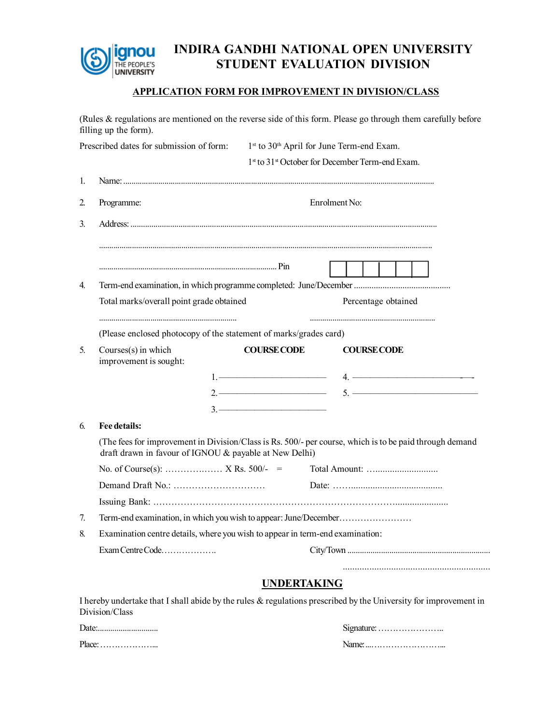

## **INDIRA GANDHI NATIONAL OPEN UNIVERSITY STUDENT EVALUATION DIVISION**

#### **APPLICATION FORM FOR IMPROVEMENT IN DIVISION/CLASS**

(Rules & regulations are mentioned on the reverse side of this form. Please go through them carefully before filling up the form).

| Prescribed dates for submission of form: |                                                                               | 1st to 30 <sup>th</sup> April for June Term-end Exam.                                                                                                                                                                                                                                                                                                                                                                                                                  |                                                                                                                  |  |  |  |  |
|------------------------------------------|-------------------------------------------------------------------------------|------------------------------------------------------------------------------------------------------------------------------------------------------------------------------------------------------------------------------------------------------------------------------------------------------------------------------------------------------------------------------------------------------------------------------------------------------------------------|------------------------------------------------------------------------------------------------------------------|--|--|--|--|
|                                          |                                                                               | 1st to 31st October for December Term-end Exam.                                                                                                                                                                                                                                                                                                                                                                                                                        |                                                                                                                  |  |  |  |  |
| 1.                                       |                                                                               |                                                                                                                                                                                                                                                                                                                                                                                                                                                                        |                                                                                                                  |  |  |  |  |
| 2.                                       | Programme:                                                                    |                                                                                                                                                                                                                                                                                                                                                                                                                                                                        | Enrolment No:                                                                                                    |  |  |  |  |
| 3.                                       |                                                                               |                                                                                                                                                                                                                                                                                                                                                                                                                                                                        |                                                                                                                  |  |  |  |  |
|                                          |                                                                               |                                                                                                                                                                                                                                                                                                                                                                                                                                                                        |                                                                                                                  |  |  |  |  |
|                                          |                                                                               |                                                                                                                                                                                                                                                                                                                                                                                                                                                                        |                                                                                                                  |  |  |  |  |
| 4.                                       |                                                                               |                                                                                                                                                                                                                                                                                                                                                                                                                                                                        |                                                                                                                  |  |  |  |  |
|                                          | Total marks/overall point grade obtained                                      |                                                                                                                                                                                                                                                                                                                                                                                                                                                                        | Percentage obtained                                                                                              |  |  |  |  |
|                                          | (Please enclosed photocopy of the statement of marks/grades card)             |                                                                                                                                                                                                                                                                                                                                                                                                                                                                        |                                                                                                                  |  |  |  |  |
| 5.                                       | Courses(s) in which<br>improvement is sought:                                 | <b>COURSE CODE</b>                                                                                                                                                                                                                                                                                                                                                                                                                                                     | <b>COURSE CODE</b>                                                                                               |  |  |  |  |
|                                          |                                                                               |                                                                                                                                                                                                                                                                                                                                                                                                                                                                        | $4.$ $\overline{\phantom{a}}$                                                                                    |  |  |  |  |
|                                          |                                                                               | $2.$ $\overline{\phantom{a}}$                                                                                                                                                                                                                                                                                                                                                                                                                                          | $\frac{1}{2}$                                                                                                    |  |  |  |  |
|                                          |                                                                               | $3.$ $\overline{\phantom{a}}$ $\overline{\phantom{a}}$ $\overline{\phantom{a}}$ $\overline{\phantom{a}}$ $\overline{\phantom{a}}$ $\overline{\phantom{a}}$ $\overline{\phantom{a}}$ $\overline{\phantom{a}}$ $\overline{\phantom{a}}$ $\overline{\phantom{a}}$ $\overline{\phantom{a}}$ $\overline{\phantom{a}}$ $\overline{\phantom{a}}$ $\overline{\phantom{a}}$ $\overline{\phantom{a}}$ $\overline{\phantom{a}}$ $\overline{\phantom{a}}$ $\overline{\phantom{a}}$ |                                                                                                                  |  |  |  |  |
| 6.                                       | Fee details:                                                                  |                                                                                                                                                                                                                                                                                                                                                                                                                                                                        |                                                                                                                  |  |  |  |  |
|                                          | draft drawn in favour of IGNOU & payable at New Delhi)                        |                                                                                                                                                                                                                                                                                                                                                                                                                                                                        | (The fees for improvement in Division/Class is Rs. 500/- per course, which is to be paid through demand          |  |  |  |  |
|                                          |                                                                               |                                                                                                                                                                                                                                                                                                                                                                                                                                                                        |                                                                                                                  |  |  |  |  |
|                                          |                                                                               |                                                                                                                                                                                                                                                                                                                                                                                                                                                                        |                                                                                                                  |  |  |  |  |
|                                          |                                                                               |                                                                                                                                                                                                                                                                                                                                                                                                                                                                        |                                                                                                                  |  |  |  |  |
| 7.                                       | Term-end examination, in which you wish to appear: June/December              |                                                                                                                                                                                                                                                                                                                                                                                                                                                                        |                                                                                                                  |  |  |  |  |
| 8.                                       | Examination centre details, where you wish to appear in term-end examination: |                                                                                                                                                                                                                                                                                                                                                                                                                                                                        |                                                                                                                  |  |  |  |  |
|                                          | Exam Centre Code                                                              |                                                                                                                                                                                                                                                                                                                                                                                                                                                                        |                                                                                                                  |  |  |  |  |
|                                          |                                                                               | <b>UNDERTAKING</b>                                                                                                                                                                                                                                                                                                                                                                                                                                                     |                                                                                                                  |  |  |  |  |
|                                          |                                                                               |                                                                                                                                                                                                                                                                                                                                                                                                                                                                        | I hereby undertake that I shall abide by the rules & regulations prescribed by the University for improvement in |  |  |  |  |
|                                          | Division/Class                                                                |                                                                                                                                                                                                                                                                                                                                                                                                                                                                        |                                                                                                                  |  |  |  |  |

| Date:  | $S$ ignature: $\dots \dots \dots \dots \dots \dots \dots$ |
|--------|-----------------------------------------------------------|
| Place: | Name:                                                     |
|        |                                                           |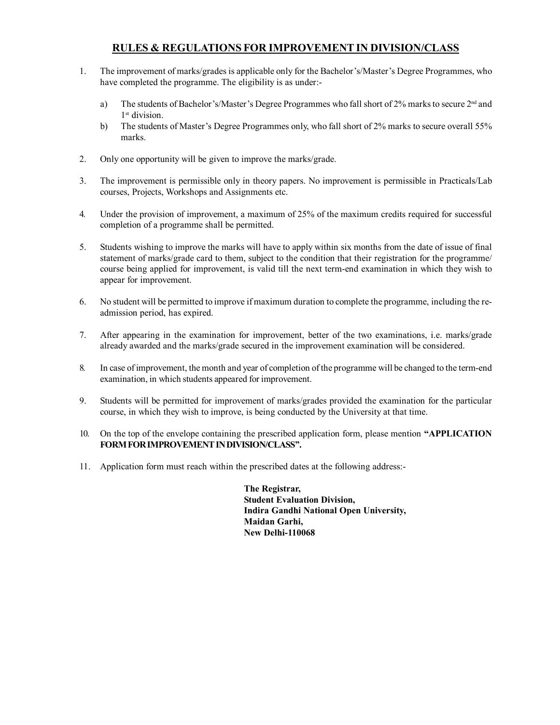#### **RULES & REGULATIONS FOR IMPROVEMENT IN DIVISION/CLASS**

- 1. The improvement of marks/grades is applicable only for the Bachelor's/Master's Degree Programmes, who have completed the programme. The eligibility is as under:
	- a) The students of Bachelor's/Master's Degree Programmes who fall short of 2% marks to secure  $2<sup>nd</sup>$  and 1 st division.
	- b) The students of Master's Degree Programmes only, who fall short of 2% marks to secure overall 55% marks.
- 2. Only one opportunity will be given to improve the marks/grade.
- 3. The improvement is permissible only in theory papers. No improvement is permissible in Practicals/Lab courses, Projects, Workshops and Assignments etc.
- 4. Under the provision of improvement, a maximum of 25% of the maximum credits required for successful completion of a programme shall be permitted.
- 5. Students wishing to improve the marks will have to apply within six months from the date of issue of final statement of marks/grade card to them, subject to the condition that their registration for the programme/ course being applied for improvement, is valid till the next term-end examination in which they wish to appear for improvement.
- 6. No student will be permitted to improve if maximum duration to complete the programme, including the readmission period, has expired.
- 7. After appearing in the examination for improvement, better of the two examinations, i.e. marks/grade already awarded and the marks/grade secured in the improvement examination will be considered.
- 8. In case of improvement, the month and year of completion of the programme will be changed to the term-end examination, in which students appeared for improvement.
- 9. Students will be permitted for improvement of marks/grades provided the examination for the particular course, in which they wish to improve, is being conducted by the University at that time.
- 10. On the top of the envelope containing the prescribed application form, please mention **"APPLICATION FORM FOR IMPROVEMENT IN DIVISION/CLASS''.**
- 11. Application form must reach within the prescribed dates at the following address:-

**The Registrar, Student Evaluation Division, Indira Gandhi National Open University, Maidan Garhi, New Delhi-110068**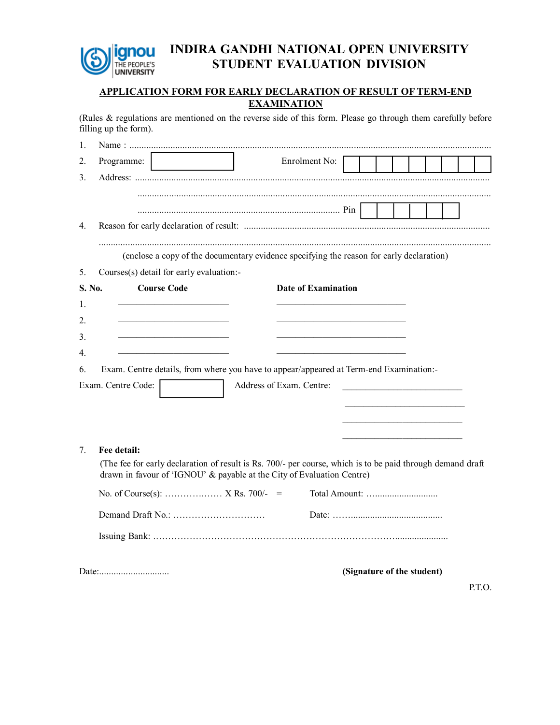

## **INDIRA GANDHI NATIONAL OPEN UNIVERSITY STUDENT EVALUATION DIVISION**

#### **APPLICATION FORM FOR EARLY DECLARATION OF RESULT OF TERM-END EXAMINATION**

(Rules & regulations are mentioned on the reverse side of this form. Please go through them carefully before filling up the form).

| 1.          |                                                                                                                       |                                                                                                                                                                                      |  |                                                                            |  |  |
|-------------|-----------------------------------------------------------------------------------------------------------------------|--------------------------------------------------------------------------------------------------------------------------------------------------------------------------------------|--|----------------------------------------------------------------------------|--|--|
| 2.          | Programme:                                                                                                            | Enrolment No:                                                                                                                                                                        |  |                                                                            |  |  |
| 3.          |                                                                                                                       |                                                                                                                                                                                      |  |                                                                            |  |  |
|             |                                                                                                                       |                                                                                                                                                                                      |  |                                                                            |  |  |
|             |                                                                                                                       |                                                                                                                                                                                      |  |                                                                            |  |  |
| 4.          |                                                                                                                       |                                                                                                                                                                                      |  |                                                                            |  |  |
|             |                                                                                                                       | (enclose a copy of the documentary evidence specifying the reason for early declaration)                                                                                             |  |                                                                            |  |  |
| 5.          | Courses(s) detail for early evaluation:-                                                                              |                                                                                                                                                                                      |  |                                                                            |  |  |
| S. No.      | <b>Course Code</b>                                                                                                    | <b>Date of Examination</b>                                                                                                                                                           |  |                                                                            |  |  |
| 1.          |                                                                                                                       |                                                                                                                                                                                      |  |                                                                            |  |  |
| 2.          |                                                                                                                       |                                                                                                                                                                                      |  |                                                                            |  |  |
| 3.          | <u> 1989 - Johann John Harry Harry Harry Harry Harry Harry Harry Harry Harry Harry Harry Harry Harry Harry Harry</u>  | <u> 1980 - Johann John Stone, mars eta biztanleria (h. 1980).</u>                                                                                                                    |  |                                                                            |  |  |
| $4_{\cdot}$ | <u> 1990 - Johann Harry Harry Harry Harry Harry Harry Harry Harry Harry Harry Harry Harry Harry Harry Harry Harry</u> | <u> 1990 - Johann Barbara, martin amerikan basar da</u>                                                                                                                              |  |                                                                            |  |  |
| 6.          |                                                                                                                       | Exam. Centre details, from where you have to appear/appeared at Term-end Examination:-                                                                                               |  |                                                                            |  |  |
|             | Exam. Centre Code:                                                                                                    | Address of Exam. Centre:                                                                                                                                                             |  |                                                                            |  |  |
|             |                                                                                                                       |                                                                                                                                                                                      |  | the control of the control of the control of the control of the control of |  |  |
|             |                                                                                                                       |                                                                                                                                                                                      |  |                                                                            |  |  |
|             |                                                                                                                       |                                                                                                                                                                                      |  | the control of the control of the control of the control of the control of |  |  |
| 7.          | Fee detail:                                                                                                           |                                                                                                                                                                                      |  |                                                                            |  |  |
|             |                                                                                                                       | (The fee for early declaration of result is Rs. 700/- per course, which is to be paid through demand draft<br>drawn in favour of 'IGNOU' & payable at the City of Evaluation Centre) |  |                                                                            |  |  |
|             |                                                                                                                       |                                                                                                                                                                                      |  |                                                                            |  |  |
|             |                                                                                                                       |                                                                                                                                                                                      |  |                                                                            |  |  |
|             |                                                                                                                       |                                                                                                                                                                                      |  |                                                                            |  |  |
|             |                                                                                                                       |                                                                                                                                                                                      |  | (Signature of the student)                                                 |  |  |
|             |                                                                                                                       |                                                                                                                                                                                      |  |                                                                            |  |  |

P.T.O.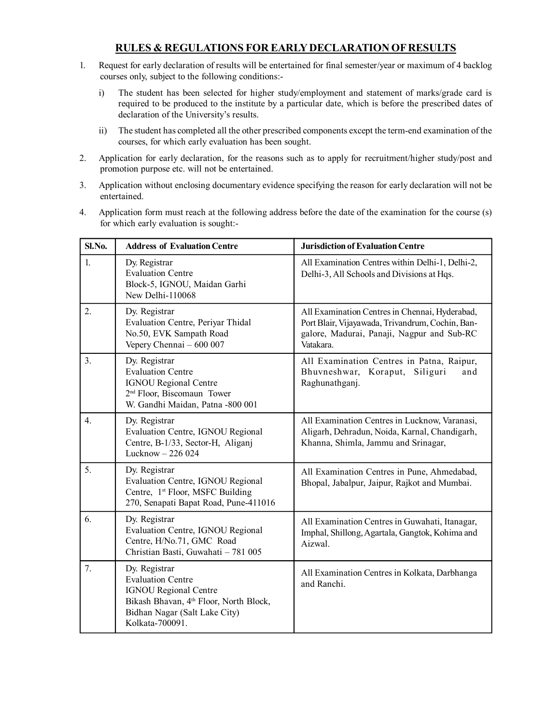#### **RULES & REGULATIONS FOR EARLY DECLARATION OF RESULTS**

- 1. Request for early declaration of results will be entertained for final semester/year or maximum of 4 backlog courses only, subject to the following conditions:
	- i) The student has been selected for higher study/employment and statement of marks/grade card is required to be produced to the institute by a particular date, which is before the prescribed dates of declaration of the University's results.
	- ii) The student has completed all the other prescribed components except the term-end examination of the courses, for which early evaluation has been sought.
- 2. Application for early declaration, for the reasons such as to apply for recruitment/higher study/post and promotion purpose etc. will not be entertained.
- 3. Application without enclosing documentary evidence specifying the reason for early declaration will not be entertained.
- 4. Application form must reach at the following address before the date of the examination for the course (s) for which early evaluation is sought:-

| Sl.No.           | <b>Address of Evaluation Centre</b>                                                                                                                                                 | <b>Jurisdiction of Evaluation Centre</b>                                                                                                                      |
|------------------|-------------------------------------------------------------------------------------------------------------------------------------------------------------------------------------|---------------------------------------------------------------------------------------------------------------------------------------------------------------|
| 1.               | Dy. Registrar<br><b>Evaluation Centre</b><br>Block-5, IGNOU, Maidan Garhi<br>New Delhi-110068                                                                                       | All Examination Centres within Delhi-1, Delhi-2,<br>Delhi-3, All Schools and Divisions at Hqs.                                                                |
| 2.               | Dy. Registrar<br>Evaluation Centre, Periyar Thidal<br>No.50, EVK Sampath Road<br>Vepery Chennai $-600007$                                                                           | All Examination Centres in Chennai, Hyderabad,<br>Port Blair, Vijayawada, Trivandrum, Cochin, Ban-<br>galore, Madurai, Panaji, Nagpur and Sub-RC<br>Vatakara. |
| 3 <sub>1</sub>   | Dy. Registrar<br><b>Evaluation Centre</b><br><b>IGNOU Regional Centre</b><br>2 <sup>nd</sup> Floor, Biscomaun Tower<br>W. Gandhi Maidan, Patna -800 001                             | All Examination Centres in Patna, Raipur,<br>Bhuvneshwar, Koraput, Siliguri<br>and<br>Raghunathganj.                                                          |
| $\overline{4}$ . | Dy. Registrar<br>Evaluation Centre, IGNOU Regional<br>Centre, B-1/33, Sector-H, Aliganj<br>Lucknow - 226 024                                                                        | All Examination Centres in Lucknow, Varanasi,<br>Aligarh, Dehradun, Noida, Karnal, Chandigarh,<br>Khanna, Shimla, Jammu and Srinagar,                         |
| 5 <sub>1</sub>   | Dy. Registrar<br>Evaluation Centre, IGNOU Regional<br>Centre, 1 <sup>st</sup> Floor, MSFC Building<br>270, Senapati Bapat Road, Pune-411016                                         | All Examination Centres in Pune, Ahmedabad,<br>Bhopal, Jabalpur, Jaipur, Rajkot and Mumbai.                                                                   |
| 6.               | Dy. Registrar<br>Evaluation Centre, IGNOU Regional<br>Centre, H/No.71, GMC Road<br>Christian Basti, Guwahati - 781 005                                                              | All Examination Centres in Guwahati, Itanagar,<br>Imphal, Shillong, Agartala, Gangtok, Kohima and<br>Aizwal.                                                  |
| 7.               | Dy. Registrar<br><b>Evaluation Centre</b><br><b>IGNOU Regional Centre</b><br>Bikash Bhavan, 4 <sup>th</sup> Floor, North Block,<br>Bidhan Nagar (Salt Lake City)<br>Kolkata-700091. | All Examination Centres in Kolkata, Darbhanga<br>and Ranchi.                                                                                                  |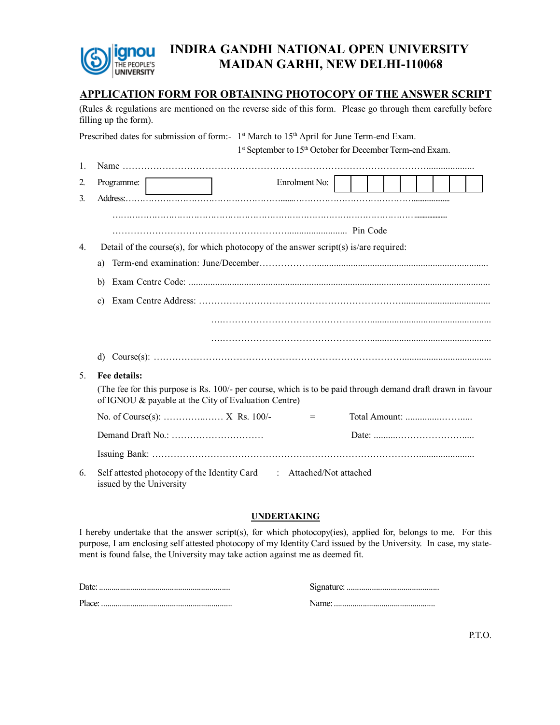

## **INDIRA GANDHI NATIONAL OPEN UNIVERSITY MAIDAN GARHI, NEW DELHI-110068**

#### **APPLICATION FORM FOR OBTAINING PHOTOCOPY OF THE ANSWER SCRIPT**

(Rules & regulations are mentioned on the reverse side of this form. Please go through them carefully before filling up the form).

|                | Prescribed dates for submission of form:- 1 <sup>st</sup> March to 15 <sup>th</sup> April for June Term-end Exam.                                                   |
|----------------|---------------------------------------------------------------------------------------------------------------------------------------------------------------------|
|                | 1st September to 15 <sup>th</sup> October for December Term-end Exam.                                                                                               |
| 1.             |                                                                                                                                                                     |
| 2.             | Enrolment No:  <br>Programme:                                                                                                                                       |
| 3.             |                                                                                                                                                                     |
|                |                                                                                                                                                                     |
|                |                                                                                                                                                                     |
| 4.             | Detail of the course(s), for which photocopy of the answer script(s) is/are required:                                                                               |
|                | a)                                                                                                                                                                  |
|                | b)                                                                                                                                                                  |
|                | c)                                                                                                                                                                  |
|                |                                                                                                                                                                     |
|                |                                                                                                                                                                     |
|                |                                                                                                                                                                     |
| 5 <sub>1</sub> | Fee details:                                                                                                                                                        |
|                | (The fee for this purpose is Rs. 100/- per course, which is to be paid through demand draft drawn in favour<br>of IGNOU & payable at the City of Evaluation Centre) |
|                | $=$                                                                                                                                                                 |
|                |                                                                                                                                                                     |
|                |                                                                                                                                                                     |
| 6.             | Self attested photocopy of the Identity Card : Attached/Not attached<br>issued by the University                                                                    |

#### **UNDERTAKING**

I hereby undertake that the answer script(s), for which photocopy(ies), applied for, belongs to me. For this purpose, I am enclosing self attested photocopy of my Identity Card issued by the University. In case, my statement is found false, the University may take action against me as deemed fit.

| Date:  | Signature: |
|--------|------------|
|        |            |
| Place: | Name       |
|        |            |

P.T.O.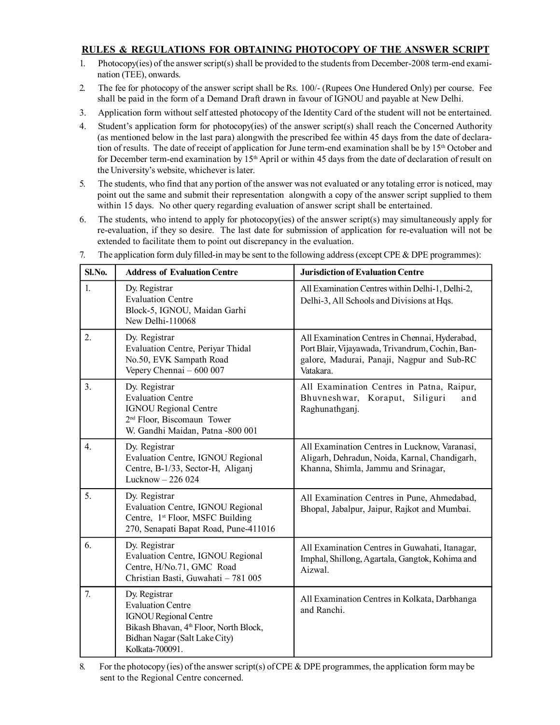#### **RULES & REGULATIONS FOR OBTAINING PHOTOCOPY OF THE ANSWER SCRIPT**

- 1. Photocopy(ies) of the answer script(s) shall be provided to the students from December-2008 term-end examination (TEE), onwards.
- 2. The fee for photocopy of the answer script shall be Rs. 100/- (Rupees One Hundered Only) per course. Fee shall be paid in the form of a Demand Draft drawn in favour of IGNOU and payable at New Delhi.
- 3. Application form without self attested photocopy of the Identity Card of the student will not be entertained.
- 4. Student's application form for photocopy(ies) of the answer script(s) shall reach the Concerned Authority (as mentioned below in the last para) alongwith the prescribed fee within 45 days from the date of declaration of results. The date of receipt of application for June term-end examination shall be by  $15<sup>th</sup>$  October and for December term-end examination by 15<sup>th</sup> April or within 45 days from the date of declaration of result on the University's website, whichever is later.
- 5. The students, who find that any portion of the answer was not evaluated or any totaling error is noticed, may point out the same and submit their representation alongwith a copy of the answer script supplied to them within 15 days. No other query regarding evaluation of answer script shall be entertained.
- 6. The students, who intend to apply for photocopy(ies) of the answer script(s) may simultaneously apply for re-evaluation, if they so desire. The last date for submission of application for re-evaluation will not be extended to facilitate them to point out discrepancy in the evaluation.

| Sl.No.           | <b>Address of Evaluation Centre</b>                                                                                                                                                 | <b>Jurisdiction of Evaluation Centre</b>                                                                                                                      |
|------------------|-------------------------------------------------------------------------------------------------------------------------------------------------------------------------------------|---------------------------------------------------------------------------------------------------------------------------------------------------------------|
| $\mathbf{1}$ .   | Dy. Registrar<br><b>Evaluation Centre</b><br>Block-5, IGNOU, Maidan Garhi<br>New Delhi-110068                                                                                       | All Examination Centres within Delhi-1, Delhi-2,<br>Delhi-3, All Schools and Divisions at Hqs.                                                                |
| 2.               | Dy. Registrar<br>Evaluation Centre, Periyar Thidal<br>No.50, EVK Sampath Road<br>Vepery Chennai - 600 007                                                                           | All Examination Centres in Chennai, Hyderabad,<br>Port Blair, Vijayawada, Trivandrum, Cochin, Ban-<br>galore, Madurai, Panaji, Nagpur and Sub-RC<br>Vatakara. |
| 3 <sub>1</sub>   | Dy. Registrar<br><b>Evaluation Centre</b><br><b>IGNOU Regional Centre</b><br>2 <sup>nd</sup> Floor, Biscomaun Tower<br>W. Gandhi Maidan, Patna -800 001                             | All Examination Centres in Patna, Raipur,<br>Siliguri<br>Bhuvneshwar, Koraput,<br>and<br>Raghunathganj.                                                       |
| $\overline{4}$ . | Dy. Registrar<br>Evaluation Centre, IGNOU Regional<br>Centre, B-1/33, Sector-H, Aliganj<br>Lucknow - 226 024                                                                        | All Examination Centres in Lucknow, Varanasi,<br>Aligarh, Dehradun, Noida, Karnal, Chandigarh,<br>Khanna, Shimla, Jammu and Srinagar,                         |
| 5.               | Dy. Registrar<br>Evaluation Centre, IGNOU Regional<br>Centre, 1st Floor, MSFC Building<br>270, Senapati Bapat Road, Pune-411016                                                     | All Examination Centres in Pune, Ahmedabad,<br>Bhopal, Jabalpur, Jaipur, Rajkot and Mumbai.                                                                   |
| 6.               | Dy. Registrar<br>Evaluation Centre, IGNOU Regional<br>Centre, H/No.71, GMC Road<br>Christian Basti, Guwahati - 781 005                                                              | All Examination Centres in Guwahati, Itanagar,<br>Imphal, Shillong, Agartala, Gangtok, Kohima and<br>Aizwal.                                                  |
| 7.               | Dy. Registrar<br><b>Evaluation Centre</b><br><b>IGNOU Regional Centre</b><br>Bikash Bhavan, 4 <sup>th</sup> Floor, North Block,<br>Bidhan Nagar (Salt Lake City)<br>Kolkata-700091. | All Examination Centres in Kolkata, Darbhanga<br>and Ranchi.                                                                                                  |

7. The application form duly filled-in may be sent to the following address (except CPE & DPE programmes):

<sup>8.</sup> For the photocopy (ies) of the answer script(s) of CPE & DPE programmes, the application form may be sent to the Regional Centre concerned.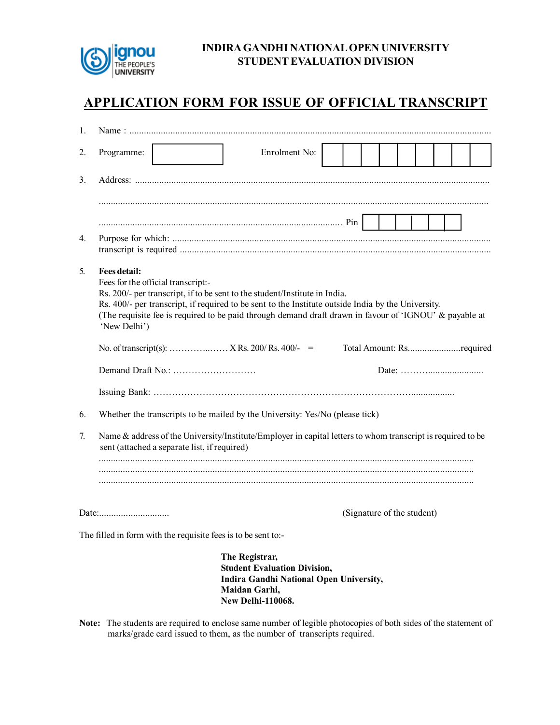

#### **INDIRA GANDHI NATIONAL OPEN UNIVERSITY STUDENT EVALUATION DIVISION**

## **APPLICATION FORM FOR ISSUE OF OFFICIAL TRANSCRIPT**

| 1. |                              |                                                               |                                                                                                                                                                                                                                                                                            |  |                            |  |  |
|----|------------------------------|---------------------------------------------------------------|--------------------------------------------------------------------------------------------------------------------------------------------------------------------------------------------------------------------------------------------------------------------------------------------|--|----------------------------|--|--|
| 2. | Programme:                   |                                                               | Enrolment No:                                                                                                                                                                                                                                                                              |  |                            |  |  |
| 3. |                              |                                                               |                                                                                                                                                                                                                                                                                            |  |                            |  |  |
|    |                              |                                                               |                                                                                                                                                                                                                                                                                            |  |                            |  |  |
| 4. |                              |                                                               |                                                                                                                                                                                                                                                                                            |  |                            |  |  |
| 5. | Fees detail:<br>'New Delhi') | Fees for the official transcript:-                            | Rs. 200/- per transcript, if to be sent to the student/Institute in India.<br>Rs. 400/- per transcript, if required to be sent to the Institute outside India by the University.<br>(The requisite fee is required to be paid through demand draft drawn in favour of 'IGNOU' & payable at |  | Total Amount: Rsrequired   |  |  |
|    |                              |                                                               |                                                                                                                                                                                                                                                                                            |  |                            |  |  |
|    |                              |                                                               |                                                                                                                                                                                                                                                                                            |  |                            |  |  |
|    |                              |                                                               |                                                                                                                                                                                                                                                                                            |  |                            |  |  |
| 6. |                              |                                                               | Whether the transcripts to be mailed by the University: Yes/No (please tick)                                                                                                                                                                                                               |  |                            |  |  |
| 7. |                              | sent (attached a separate list, if required)                  | Name & address of the University/Institute/Employer in capital letters to whom transcript is required to be                                                                                                                                                                                |  |                            |  |  |
|    |                              |                                                               |                                                                                                                                                                                                                                                                                            |  | (Signature of the student) |  |  |
|    |                              | The filled in form with the requisite fees is to be sent to:- |                                                                                                                                                                                                                                                                                            |  |                            |  |  |
|    |                              |                                                               | The Registrar,<br><b>Student Evaluation Division,</b><br><b>Indira Gandhi National Open University,</b><br>Maidan Garhi,<br><b>New Delhi-110068.</b>                                                                                                                                       |  |                            |  |  |

**Note:** The students are required to enclose same number of legible photocopies of both sides of the statement of marks/grade card issued to them, as the number of transcripts required.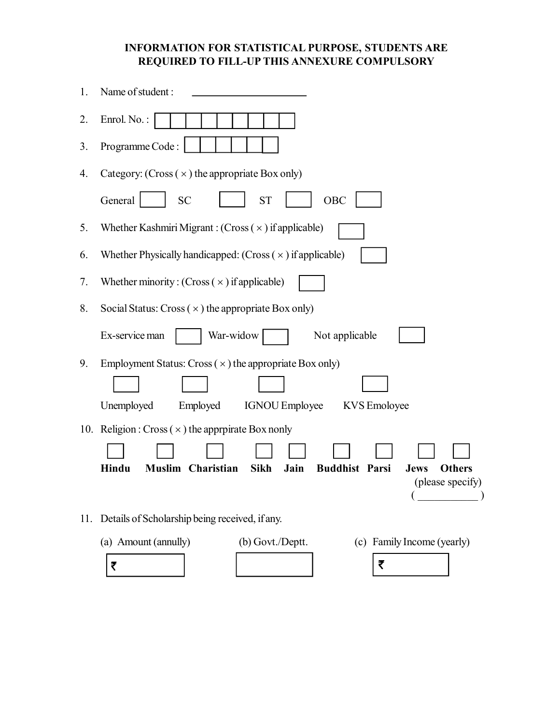### **INFORMATION FOR STATISTICAL PURPOSE, STUDENTS ARE REQUIRED TO FILL-UP THIS ANNEXURE COMPULSORY**

| 1.  | Name of student:                                                                                                                                    |
|-----|-----------------------------------------------------------------------------------------------------------------------------------------------------|
| 2.  | Enrol. No.:                                                                                                                                         |
| 3.  | Programme Code:                                                                                                                                     |
| 4.  | Category: (Cross $(\times)$ the appropriate Box only)                                                                                               |
|     | OBC<br>General<br><b>SC</b><br><b>ST</b>                                                                                                            |
| 5.  | Whether Kashmiri Migrant : (Cross $(x)$ if applicable)                                                                                              |
| 6.  | Whether Physically handicapped: $(Cross(x))$ if applicable)                                                                                         |
| 7.  | Whether minority: $(Cross(x))$ if applicable)                                                                                                       |
| 8.  | Social Status: $Cross(x)$ the appropriate Box only)                                                                                                 |
|     | War-widow<br>Ex-service man<br>Not applicable                                                                                                       |
| 9.  | Employment Status: Cross $(\times)$ the appropriate Box only)<br>Unemployed<br>Employed<br><b>IGNOU Employee</b><br>KVS Emoloyee                    |
|     | 10. Religion: Cross $(\times)$ the approximate Box nonly                                                                                            |
|     | Hindu<br><b>Muslim Charistian</b><br><b>Sikh</b><br><b>Buddhist Parsi</b><br>Jain<br><b>Others</b><br><b>Jews</b><br>(please specify)<br>$\sqrt{2}$ |
| 11. | Details of Scholarship being received, if any.                                                                                                      |
|     | (a) Amount (annully)<br>(b) Govt./Deptt.<br>(c) Family Income (yearly)<br>₹<br>₹                                                                    |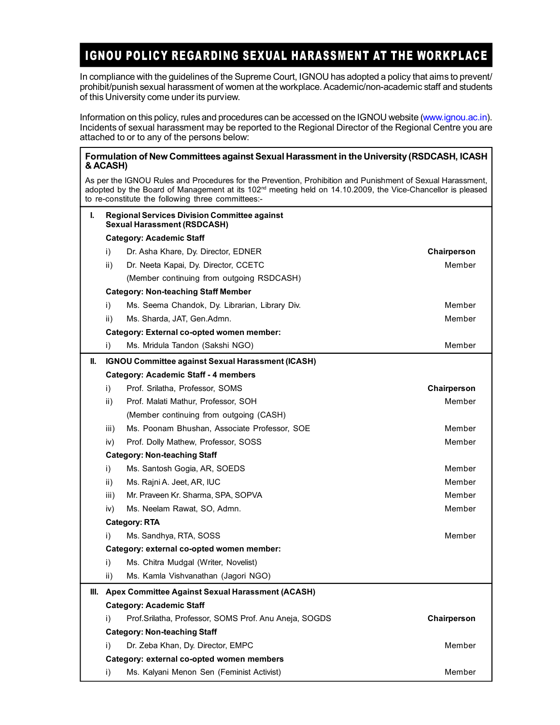## IGNOU POLICY REGARDING SEXUAL HARASSMENT AT THE WORKPLACE

In compliance with the guidelines of the Supreme Court, IGNOU has adopted a policy that aims to prevent/ prohibit/punish sexual harassment of women at the workplace. Academic/non-academic staff and students of this University come under its purview.

Information on this policy, rules and procedures can be accessed on the IGNOU website (www.ignou.ac.in). Incidents of sexual harassment may be reported to the Regional Director of the Regional Centre you are attached to or to any of the persons below:

#### **Formulation of New Committees against Sexual Harassment in the University (RSDCASH, ICASH & ACASH)**

As per the IGNOU Rules and Procedures for the Prevention, Prohibition and Punishment of Sexual Harassment, adopted by the Board of Management at its 102<sup>nd</sup> meeting held on 14.10.2009, the Vice-Chancellor is pleased to re-constitute the following three committees:-

| ı. |                 | <b>Regional Services Division Committee against</b><br><b>Sexual Harassment (RSDCASH)</b> |             |
|----|-----------------|-------------------------------------------------------------------------------------------|-------------|
|    |                 | <b>Category: Academic Staff</b>                                                           |             |
|    | i)              | Dr. Asha Khare, Dy. Director, EDNER                                                       | Chairperson |
|    | ii)             | Dr. Neeta Kapai, Dy. Director, CCETC                                                      | Member      |
|    |                 | (Member continuing from outgoing RSDCASH)                                                 |             |
|    |                 | <b>Category: Non-teaching Staff Member</b>                                                |             |
|    | i)              | Ms. Seema Chandok, Dy. Librarian, Library Div.                                            | Member      |
|    | ii)             | Ms. Sharda, JAT, Gen.Admn.                                                                | Member      |
|    |                 | Category: External co-opted women member:                                                 |             |
|    | i)              | Ms. Mridula Tandon (Sakshi NGO)                                                           | Member      |
| Ш. |                 | <b>IGNOU Committee against Sexual Harassment (ICASH)</b>                                  |             |
|    |                 | <b>Category: Academic Staff - 4 members</b>                                               |             |
|    | i)              | Prof. Srilatha, Professor, SOMS                                                           | Chairperson |
|    | ii)             | Prof. Malati Mathur, Professor, SOH                                                       | Member      |
|    |                 | (Member continuing from outgoing (CASH)                                                   |             |
|    | iii)            | Ms. Poonam Bhushan, Associate Professor, SOE                                              | Member      |
|    | iv)             | Prof. Dolly Mathew, Professor, SOSS                                                       | Member      |
|    |                 | <b>Category: Non-teaching Staff</b>                                                       |             |
|    | i)              | Ms. Santosh Gogia, AR, SOEDS                                                              | Member      |
|    | $\mathsf{ii}$ ) | Ms. Rajni A. Jeet, AR, IUC                                                                | Member      |
|    | iii)            | Mr. Praveen Kr. Sharma, SPA, SOPVA                                                        | Member      |
|    | iv)             | Ms. Neelam Rawat, SO, Admn.                                                               | Member      |
|    |                 | <b>Category: RTA</b>                                                                      |             |
|    | i)              | Ms. Sandhya, RTA, SOSS                                                                    | Member      |
|    |                 | Category: external co-opted women member:                                                 |             |
|    | i)              | Ms. Chitra Mudgal (Writer, Novelist)                                                      |             |
|    | ii)             | Ms. Kamla Vishvanathan (Jagori NGO)                                                       |             |
|    |                 | III. Apex Committee Against Sexual Harassment (ACASH)                                     |             |
|    |                 | <b>Category: Academic Staff</b>                                                           |             |
|    | i)              | Prof.Srilatha, Professor, SOMS Prof. Anu Aneja, SOGDS                                     | Chairperson |
|    |                 | <b>Category: Non-teaching Staff</b>                                                       |             |
|    | i)              | Dr. Zeba Khan, Dy. Director, EMPC                                                         | Member      |
|    |                 | Category: external co-opted women members                                                 |             |
|    | i)              | Ms. Kalyani Menon Sen (Feminist Activist)                                                 | Member      |